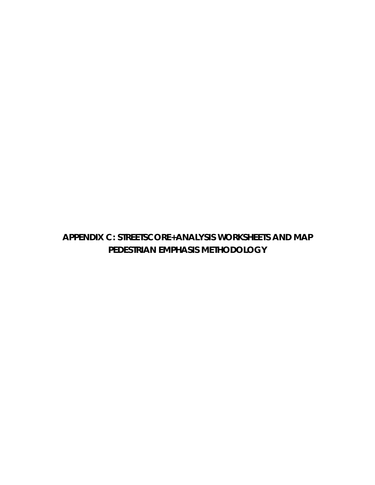## **APPENDIX C: STREETSCORE+ANALYSIS WORKSHEETS AND MAP PEDESTRIAN EMPHASIS METHODOLOGY**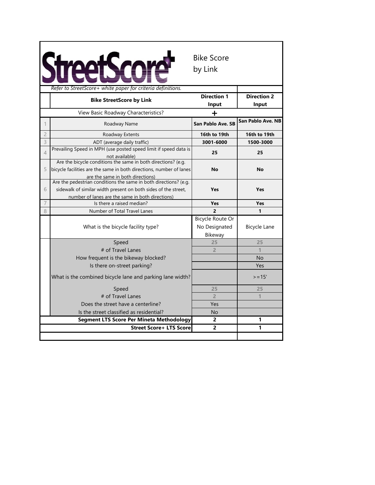|                |                                                                                                                                                                                        | <b>Bike Score</b><br>by Link                        |                             |
|----------------|----------------------------------------------------------------------------------------------------------------------------------------------------------------------------------------|-----------------------------------------------------|-----------------------------|
|                | Refer to StreetScore + white paper for criteria definitions.                                                                                                                           |                                                     |                             |
|                | <b>Bike StreetScore by Link</b>                                                                                                                                                        | <b>Direction 1</b><br>Input                         | <b>Direction 2</b><br>Input |
|                | View Basic Roadway Characteristics?                                                                                                                                                    |                                                     |                             |
|                | Roadway Name                                                                                                                                                                           | <b>San Pablo Ave. SB</b>                            | San Pablo Ave. NB           |
| $\overline{c}$ | Roadway Extents                                                                                                                                                                        | 16th to 19th                                        | 16th to 19th                |
| 3              | ADT (average daily traffic)                                                                                                                                                            | 3001-6000                                           | 1500-3000                   |
| $\overline{4}$ | Prevailing Speed in MPH (use posted speed limit if speed data is<br>not available)                                                                                                     | 25                                                  | 25                          |
| 5              | Are the bicycle conditions the same in both directions? (e.g.<br>bicycle facilities are the same in both directions, number of lanes<br>are the same in both directions)               | <b>No</b>                                           | <b>No</b>                   |
| 6              | Are the pedestrian conditions the same in both directions? (e.g.<br>sidewalk of similar width present on both sides of the street,<br>number of lanes are the same in both directions) | Yes                                                 | <b>Yes</b>                  |
| 7              | Is there a raised median?                                                                                                                                                              | Yes                                                 | Yes                         |
| 8              | Number of Total Travel Lanes                                                                                                                                                           | $\overline{2}$                                      | 1                           |
|                | What is the bicycle facility type?                                                                                                                                                     | <b>Bicycle Route Or</b><br>No Designated<br>Bikeway | <b>Bicycle Lane</b>         |
|                | Speed                                                                                                                                                                                  | 25                                                  | 25                          |
|                | # of Travel Lanes                                                                                                                                                                      | $\overline{2}$                                      |                             |
|                | How frequent is the bikeway blocked?                                                                                                                                                   |                                                     | <b>No</b>                   |
|                | Is there on-street parking?                                                                                                                                                            |                                                     | Yes                         |
|                | What is the combined bicycle lane and parking lane width?                                                                                                                              |                                                     | $>=15'$                     |
|                | Speed                                                                                                                                                                                  | 25                                                  | 25                          |
|                | # of Travel Lanes                                                                                                                                                                      | $\overline{2}$                                      |                             |
|                | Does the street have a centerline?                                                                                                                                                     | Yes                                                 |                             |
|                | Is the street classified as residential?                                                                                                                                               | No                                                  |                             |
|                | <b>Segment LTS Score Per Mineta Methodology</b>                                                                                                                                        | 2                                                   | 1                           |
|                | <b>Street Score+ LTS Score</b>                                                                                                                                                         | $\overline{2}$                                      | 1                           |
|                |                                                                                                                                                                                        |                                                     |                             |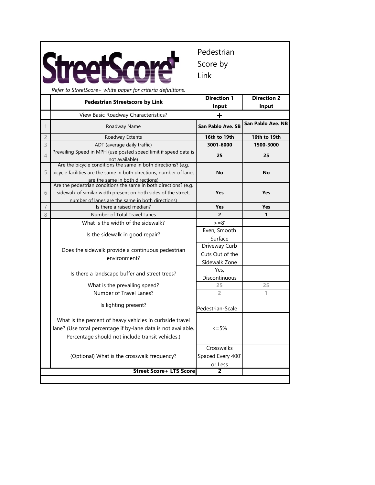|                |                                                                                                                                                                               | Pedestrian<br>Score by<br>Link             |                             |
|----------------|-------------------------------------------------------------------------------------------------------------------------------------------------------------------------------|--------------------------------------------|-----------------------------|
|                | Refer to StreetScore+ white paper for criteria definitions.                                                                                                                   |                                            |                             |
|                | <b>Pedestrian Streetscore by Link</b>                                                                                                                                         | <b>Direction 1</b><br>Input                | <b>Direction 2</b><br>Input |
|                | View Basic Roadway Characteristics?                                                                                                                                           | ╈                                          |                             |
|                | Roadway Name                                                                                                                                                                  | San Pablo Ave. SB                          | San Pablo Ave. NB           |
| $\overline{c}$ | Roadway Extents                                                                                                                                                               | 16th to 19th                               | 16th to 19th                |
| 3              | ADT (average daily traffic)                                                                                                                                                   | 3001-6000                                  | 1500-3000                   |
| $\overline{4}$ | Prevailing Speed in MPH (use posted speed limit if speed data is                                                                                                              | 25                                         | 25                          |
|                | not available)                                                                                                                                                                |                                            |                             |
| 5              | Are the bicycle conditions the same in both directions? (e.g.<br>bicycle facilities are the same in both directions, number of lanes<br>are the same in both directions)      | <b>No</b>                                  | <b>No</b>                   |
|                | Are the pedestrian conditions the same in both directions? (e.g.                                                                                                              |                                            |                             |
| 6              | sidewalk of similar width present on both sides of the street,                                                                                                                | <b>Yes</b>                                 | <b>Yes</b>                  |
|                | number of lanes are the same in both directions)                                                                                                                              |                                            |                             |
| $\overline{7}$ | Is there a raised median?                                                                                                                                                     | Yes                                        | <b>Yes</b>                  |
| 8              | Number of Total Travel Lanes                                                                                                                                                  | $\overline{2}$                             | 1                           |
|                | What is the width of the sidewalk?                                                                                                                                            | $>=8'$                                     |                             |
|                | Is the sidewalk in good repair?                                                                                                                                               | Even, Smooth                               |                             |
|                |                                                                                                                                                                               | Surface                                    |                             |
|                |                                                                                                                                                                               | Driveway Curb                              |                             |
|                | Does the sidewalk provide a continuous pedestrian                                                                                                                             | Cuts Out of the                            |                             |
|                | environment?                                                                                                                                                                  | Sidewalk Zone                              |                             |
|                |                                                                                                                                                                               | Yes,                                       |                             |
|                | Is there a landscape buffer and street trees?                                                                                                                                 | Discontinuous                              |                             |
|                | What is the prevailing speed?                                                                                                                                                 | 25                                         | 25                          |
|                | Number of Travel Lanes?                                                                                                                                                       | $\overline{2}$                             | 1                           |
|                | Is lighting present?                                                                                                                                                          | Pedestrian-Scale                           |                             |
|                | What is the percent of heavy vehicles in curbside travel<br>lane? (Use total percentage if by-lane data is not available.<br>Percentage should not include transit vehicles.) | $\leq$ = 5%                                |                             |
|                | (Optional) What is the crosswalk frequency?                                                                                                                                   | Crosswalks<br>Spaced Every 400'<br>or Less |                             |
|                | <b>Street Score+ LTS Score</b>                                                                                                                                                | $\overline{2}$                             |                             |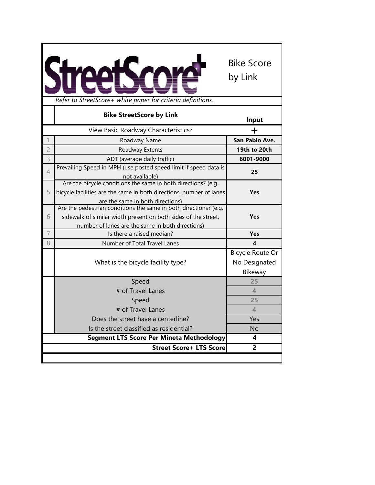|                | Refer to StreetScore+ white paper for criteria definitions.                                                                                                                            | <b>Bike Score</b><br>by Link                        |
|----------------|----------------------------------------------------------------------------------------------------------------------------------------------------------------------------------------|-----------------------------------------------------|
|                | <b>Bike StreetScore by Link</b>                                                                                                                                                        |                                                     |
|                |                                                                                                                                                                                        | Input                                               |
|                | View Basic Roadway Characteristics?                                                                                                                                                    |                                                     |
|                | Roadway Name                                                                                                                                                                           | San Pablo Ave.                                      |
| $\overline{2}$ | Roadway Extents                                                                                                                                                                        | 19th to 20th                                        |
| 3              | ADT (average daily traffic)                                                                                                                                                            | 6001-9000                                           |
| $\overline{4}$ | Prevailing Speed in MPH (use posted speed limit if speed data is<br>not available)                                                                                                     | 25                                                  |
| 5              | Are the bicycle conditions the same in both directions? (e.g.<br>bicycle facilities are the same in both directions, number of lanes<br>are the same in both directions)               | <b>Yes</b>                                          |
| 6              | Are the pedestrian conditions the same in both directions? (e.g.<br>sidewalk of similar width present on both sides of the street,<br>number of lanes are the same in both directions) | <b>Yes</b>                                          |
| $\overline{7}$ | Is there a raised median?                                                                                                                                                              | Yes                                                 |
| 8              | Number of Total Travel Lanes                                                                                                                                                           | 4                                                   |
|                | What is the bicycle facility type?                                                                                                                                                     | <b>Bicycle Route Or</b><br>No Designated<br>Bikeway |
|                | Speed                                                                                                                                                                                  | 25                                                  |
|                | # of Travel Lanes                                                                                                                                                                      | $\overline{\mathcal{A}}$                            |
|                | Speed                                                                                                                                                                                  | 25                                                  |
|                | # of Travel Lanes                                                                                                                                                                      | 4                                                   |
|                | Does the street have a centerline?                                                                                                                                                     | Yes                                                 |
|                | Is the street classified as residential?                                                                                                                                               | No                                                  |
|                | <b>Segment LTS Score Per Mineta Methodology</b>                                                                                                                                        | 4                                                   |
|                | <b>Street Score+ LTS Score</b>                                                                                                                                                         | $\overline{2}$                                      |
|                |                                                                                                                                                                                        |                                                     |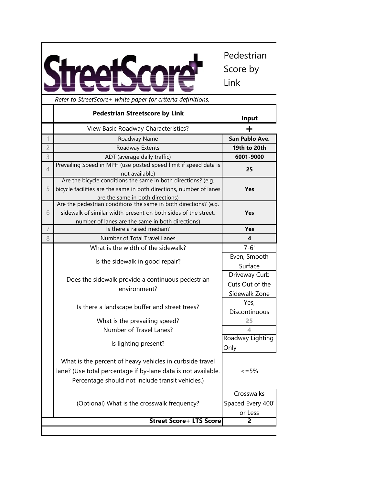Pedestrian **StreetScore** Score by Link

|                | Refer to StreetScore+ white paper for criteria definitions.                                                                                                                            |                                                   |
|----------------|----------------------------------------------------------------------------------------------------------------------------------------------------------------------------------------|---------------------------------------------------|
|                | <b>Pedestrian Streetscore by Link</b>                                                                                                                                                  | Input                                             |
|                | View Basic Roadway Characteristics?                                                                                                                                                    | ┿                                                 |
| $\mathbf 1$    | Roadway Name                                                                                                                                                                           | San Pablo Ave.                                    |
| $\overline{2}$ | Roadway Extents                                                                                                                                                                        | 19th to 20th                                      |
| 3              | ADT (average daily traffic)                                                                                                                                                            | 6001-9000                                         |
| 4              | Prevailing Speed in MPH (use posted speed limit if speed data is<br>not available)                                                                                                     | 25                                                |
| 5              | Are the bicycle conditions the same in both directions? (e.g.<br>bicycle facilities are the same in both directions, number of lanes<br>are the same in both directions)               | <b>Yes</b>                                        |
| 6              | Are the pedestrian conditions the same in both directions? (e.g.<br>sidewalk of similar width present on both sides of the street,<br>number of lanes are the same in both directions) | <b>Yes</b>                                        |
| $\overline{7}$ | Is there a raised median?                                                                                                                                                              | <b>Yes</b>                                        |
| 8              | Number of Total Travel Lanes                                                                                                                                                           | 4                                                 |
|                | What is the width of the sidewalk?                                                                                                                                                     | $7 - 6'$                                          |
|                | Is the sidewalk in good repair?                                                                                                                                                        | Even, Smooth<br>Surface                           |
|                | Does the sidewalk provide a continuous pedestrian<br>environment?                                                                                                                      | Driveway Curb<br>Cuts Out of the<br>Sidewalk Zone |
|                | Is there a landscape buffer and street trees?                                                                                                                                          | Yes,<br>Discontinuous                             |
|                | What is the prevailing speed?<br>Number of Travel Lanes?                                                                                                                               | 25<br>4                                           |
|                | Is lighting present?                                                                                                                                                                   | Roadway Lighting<br>Only                          |
|                | What is the percent of heavy vehicles in curbside travel<br>lane? (Use total percentage if by-lane data is not available.<br>Percentage should not include transit vehicles.)          | $\leq$ = 5%                                       |
|                | (Optional) What is the crosswalk frequency?                                                                                                                                            | Crosswalks<br>Spaced Every 400'<br>or Less        |
|                | <b>Street Score+ LTS Score</b>                                                                                                                                                         | 2                                                 |
|                |                                                                                                                                                                                        |                                                   |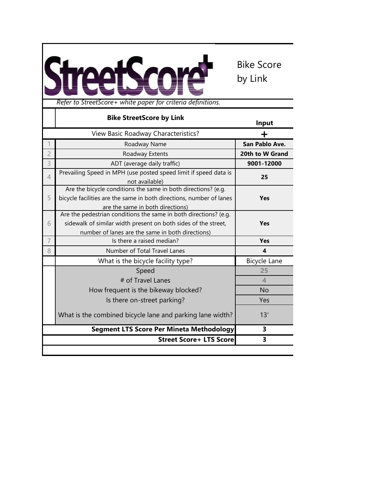

|                | <b>Bike StreetScore by Link</b>                                                                                                                                                        | Input            |
|----------------|----------------------------------------------------------------------------------------------------------------------------------------------------------------------------------------|------------------|
|                | View Basic Roadway Characteristics?                                                                                                                                                    | +                |
|                | Roadway Name                                                                                                                                                                           | San Pablo Ave.   |
| $\overline{2}$ | Roadway Extents                                                                                                                                                                        | 20th to W Grand  |
| 3              | ADT (average daily traffic)                                                                                                                                                            | 9001-12000       |
| 4              | Prevailing Speed in MPH (use posted speed limit if speed data is<br>not available)                                                                                                     | 25               |
| 5              | Are the bicycle conditions the same in both directions? (e.g.<br>bicycle facilities are the same in both directions, number of lanes<br>are the same in both directions)               | <b>Yes</b>       |
| 6              | Are the pedestrian conditions the same in both directions? (e.g.<br>sidewalk of similar width present on both sides of the street,<br>number of lanes are the same in both directions) | <b>Yes</b>       |
| $\overline{7}$ | Is there a raised median?                                                                                                                                                              | Yes              |
| 8              | Number of Total Travel Lanes                                                                                                                                                           | 4                |
|                | What is the bicycle facility type?                                                                                                                                                     | Bicycle Lane     |
|                | Speed                                                                                                                                                                                  | 25               |
|                | # of Travel Lanes                                                                                                                                                                      | $\blacktriangle$ |
|                | How frequent is the bikeway blocked?                                                                                                                                                   | <b>No</b>        |
|                | Is there on-street parking?                                                                                                                                                            | Yes              |
|                | What is the combined bicycle lane and parking lane width?                                                                                                                              | 13'              |
|                | <b>Segment LTS Score Per Mineta Methodology</b>                                                                                                                                        | 3                |
|                | <b>Street Score+ LTS Score</b>                                                                                                                                                         | 3                |
|                |                                                                                                                                                                                        |                  |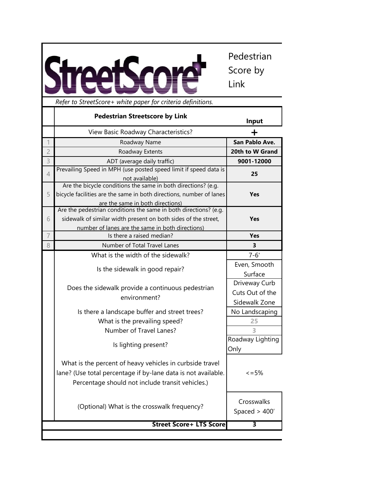

Pedestrian Score by Link

|                | <b>Pedestrian Streetscore by Link</b>                                                                                                                                                  | Input                                             |
|----------------|----------------------------------------------------------------------------------------------------------------------------------------------------------------------------------------|---------------------------------------------------|
|                | View Basic Roadway Characteristics?                                                                                                                                                    | ┿                                                 |
| 1              | Roadway Name                                                                                                                                                                           | San Pablo Ave.                                    |
| $\overline{c}$ | Roadway Extents                                                                                                                                                                        | 20th to W Grand                                   |
| 3              | ADT (average daily traffic)                                                                                                                                                            | 9001-12000                                        |
| $\overline{4}$ | Prevailing Speed in MPH (use posted speed limit if speed data is<br>not available)                                                                                                     | 25                                                |
| 5              | Are the bicycle conditions the same in both directions? (e.g.<br>bicycle facilities are the same in both directions, number of lanes<br>are the same in both directions)               | <b>Yes</b>                                        |
| 6              | Are the pedestrian conditions the same in both directions? (e.g.<br>sidewalk of similar width present on both sides of the street,<br>number of lanes are the same in both directions) | <b>Yes</b>                                        |
| $\overline{7}$ | Is there a raised median?                                                                                                                                                              | Yes                                               |
| 8              | Number of Total Travel Lanes                                                                                                                                                           | 3                                                 |
|                | What is the width of the sidewalk?                                                                                                                                                     | $7 - 6'$                                          |
|                | Is the sidewalk in good repair?                                                                                                                                                        | Even, Smooth<br>Surface                           |
|                | Does the sidewalk provide a continuous pedestrian<br>environment?                                                                                                                      | Driveway Curb<br>Cuts Out of the<br>Sidewalk Zone |
|                | Is there a landscape buffer and street trees?                                                                                                                                          | No Landscaping                                    |
|                | What is the prevailing speed?                                                                                                                                                          | 25                                                |
|                | Number of Travel Lanes?                                                                                                                                                                | 3                                                 |
|                | Is lighting present?                                                                                                                                                                   | Roadway Lighting<br>Only                          |
|                | What is the percent of heavy vehicles in curbside travel<br>lane? (Use total percentage if by-lane data is not available.<br>Percentage should not include transit vehicles.)          | $\leq$ = 5%                                       |
|                | (Optional) What is the crosswalk frequency?                                                                                                                                            | Crosswalks<br>Spaced $>$ 400'                     |
|                | <b>Street Score+ LTS Score</b>                                                                                                                                                         | 3                                                 |
|                |                                                                                                                                                                                        |                                                   |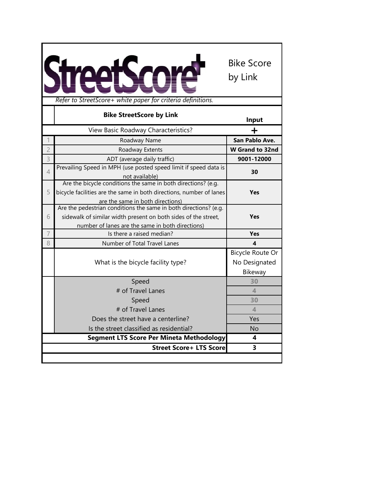

|                | <b>Bike StreetScore by Link</b>                                                                      | Input                    |
|----------------|------------------------------------------------------------------------------------------------------|--------------------------|
|                | View Basic Roadway Characteristics?                                                                  |                          |
|                | Roadway Name                                                                                         | San Pablo Ave.           |
| $\overline{2}$ | Roadway Extents                                                                                      | <b>W</b> Grand to 32nd   |
| 3              | ADT (average daily traffic)                                                                          | 9001-12000               |
| $\overline{4}$ | Prevailing Speed in MPH (use posted speed limit if speed data is<br>not available)                   | 30                       |
|                | Are the bicycle conditions the same in both directions? (e.g.                                        |                          |
| 5              | bicycle facilities are the same in both directions, number of lanes                                  | <b>Yes</b>               |
|                | are the same in both directions)<br>Are the pedestrian conditions the same in both directions? (e.g. |                          |
| 6              | sidewalk of similar width present on both sides of the street,                                       | <b>Yes</b>               |
|                | number of lanes are the same in both directions)                                                     |                          |
| $\overline{7}$ | Is there a raised median?                                                                            | <b>Yes</b>               |
| 8              | Number of Total Travel Lanes                                                                         | 4                        |
|                |                                                                                                      | Bicycle Route Or         |
|                | What is the bicycle facility type?                                                                   | No Designated            |
|                |                                                                                                      | Bikeway                  |
|                | Speed                                                                                                | 30                       |
|                | # of Travel Lanes                                                                                    | $\overline{4}$           |
|                | Speed                                                                                                | 30                       |
|                | # of Travel Lanes                                                                                    | $\overline{\mathcal{A}}$ |
|                | Does the street have a centerline?                                                                   | Yes                      |
|                | Is the street classified as residential?                                                             | <b>No</b>                |
|                | <b>Segment LTS Score Per Mineta Methodology</b>                                                      | 4                        |
|                | <b>Street Score+ LTS Score</b>                                                                       | 3                        |
|                |                                                                                                      |                          |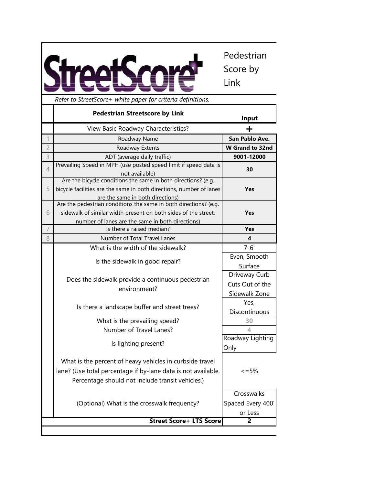Pedestrian Score by Link

|                | Refer to StreetScore+ white paper for criteria definitions.                                                                                                                            |                                                   |
|----------------|----------------------------------------------------------------------------------------------------------------------------------------------------------------------------------------|---------------------------------------------------|
|                | <b>Pedestrian Streetscore by Link</b>                                                                                                                                                  | Input                                             |
|                | View Basic Roadway Characteristics?                                                                                                                                                    | +                                                 |
| $\mathbf 1$    | Roadway Name                                                                                                                                                                           | San Pablo Ave.                                    |
| $\overline{c}$ | Roadway Extents                                                                                                                                                                        | <b>W</b> Grand to 32nd                            |
| 3              | ADT (average daily traffic)                                                                                                                                                            | 9001-12000                                        |
| 4              | Prevailing Speed in MPH (use posted speed limit if speed data is<br>not available)                                                                                                     | 30                                                |
| 5              | Are the bicycle conditions the same in both directions? (e.g.<br>bicycle facilities are the same in both directions, number of lanes<br>are the same in both directions)               | <b>Yes</b>                                        |
| 6              | Are the pedestrian conditions the same in both directions? (e.g.<br>sidewalk of similar width present on both sides of the street,<br>number of lanes are the same in both directions) | <b>Yes</b>                                        |
| $\overline{7}$ | Is there a raised median?                                                                                                                                                              | Yes                                               |
| 8              | Number of Total Travel Lanes                                                                                                                                                           | 4                                                 |
|                | What is the width of the sidewalk?                                                                                                                                                     | $7 - 6'$                                          |
|                | Is the sidewalk in good repair?                                                                                                                                                        | Even, Smooth<br>Surface                           |
|                | Does the sidewalk provide a continuous pedestrian<br>environment?                                                                                                                      | Driveway Curb<br>Cuts Out of the<br>Sidewalk Zone |
|                | Is there a landscape buffer and street trees?                                                                                                                                          | Yes,<br>Discontinuous                             |
|                | What is the prevailing speed?                                                                                                                                                          | 30                                                |
|                | Number of Travel Lanes?                                                                                                                                                                | ◢                                                 |
|                | Is lighting present?                                                                                                                                                                   | Roadway Lighting<br>Only                          |
|                | What is the percent of heavy vehicles in curbside travel<br>lane? (Use total percentage if by-lane data is not available.<br>Percentage should not include transit vehicles.)          | $\leq$ = 5%                                       |
|                | (Optional) What is the crosswalk frequency?                                                                                                                                            | Crosswalks<br>Spaced Every 400'<br>or Less        |
|                | <b>Street Score+ LTS Score</b>                                                                                                                                                         | 2                                                 |
|                |                                                                                                                                                                                        |                                                   |

StreetScore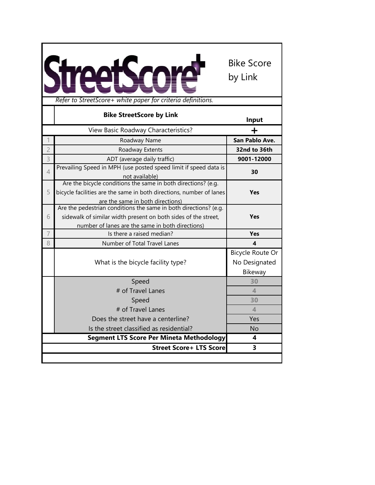

|                | <b>Bike StreetScore by Link</b>                                     | Input                  |
|----------------|---------------------------------------------------------------------|------------------------|
|                | View Basic Roadway Characteristics?                                 |                        |
|                | Roadway Name                                                        | San Pablo Ave.         |
| $\overline{2}$ | Roadway Extents                                                     | 32nd to 36th           |
| 3              | ADT (average daily traffic)                                         | 9001-12000             |
| $\overline{4}$ | Prevailing Speed in MPH (use posted speed limit if speed data is    | 30                     |
|                | not available)                                                      |                        |
|                | Are the bicycle conditions the same in both directions? (e.g.       |                        |
| 5              | bicycle facilities are the same in both directions, number of lanes | Yes                    |
|                | are the same in both directions)                                    |                        |
|                | Are the pedestrian conditions the same in both directions? (e.g.    |                        |
| 6              | sidewalk of similar width present on both sides of the street,      | Yes                    |
|                | number of lanes are the same in both directions)                    |                        |
| 7              | Is there a raised median?                                           | <b>Yes</b>             |
| 8              | Number of Total Travel Lanes                                        | $\boldsymbol{\Lambda}$ |
|                |                                                                     | Bicycle Route Or       |
|                | What is the bicycle facility type?                                  | No Designated          |
|                |                                                                     | Bikeway                |
|                | Speed                                                               | 30                     |
|                | # of Travel Lanes                                                   | $\blacktriangle$       |
|                | Speed                                                               | 30                     |
|                | # of Travel Lanes                                                   | $\blacktriangle$       |
|                | Does the street have a centerline?                                  | Yes                    |
|                | Is the street classified as residential?                            | <b>No</b>              |
|                | <b>Segment LTS Score Per Mineta Methodology</b>                     | 4                      |
|                | <b>Street Score+ LTS Score</b>                                      | 3                      |
|                |                                                                     |                        |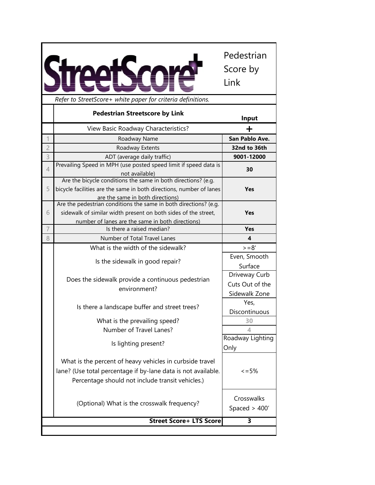|                |                                                                                                                                                                               | Pedestrian<br>Score by<br>Link                    |
|----------------|-------------------------------------------------------------------------------------------------------------------------------------------------------------------------------|---------------------------------------------------|
|                | Refer to StreetScore+ white paper for criteria definitions.                                                                                                                   |                                                   |
|                | <b>Pedestrian Streetscore by Link</b>                                                                                                                                         | Input                                             |
|                | View Basic Roadway Characteristics?                                                                                                                                           | ┿                                                 |
|                | Roadway Name                                                                                                                                                                  | San Pablo Ave.                                    |
| $\overline{c}$ | Roadway Extents                                                                                                                                                               | 32nd to 36th                                      |
| 3              | ADT (average daily traffic)                                                                                                                                                   | 9001-12000                                        |
| 4              | Prevailing Speed in MPH (use posted speed limit if speed data is<br>not available)                                                                                            | 30                                                |
| 5              | Are the bicycle conditions the same in both directions? (e.g.<br>bicycle facilities are the same in both directions, number of lanes<br>are the same in both directions)      | <b>Yes</b>                                        |
|                | Are the pedestrian conditions the same in both directions? (e.g.                                                                                                              |                                                   |
| 6              | sidewalk of similar width present on both sides of the street,                                                                                                                | Yes                                               |
|                | number of lanes are the same in both directions)                                                                                                                              |                                                   |
| 7              | Is there a raised median?                                                                                                                                                     | Yes                                               |
| 8              | Number of Total Travel Lanes                                                                                                                                                  | 4                                                 |
|                | What is the width of the sidewalk?                                                                                                                                            | $>=8'$                                            |
|                | Is the sidewalk in good repair?                                                                                                                                               | Even, Smooth<br>Surface                           |
|                | Does the sidewalk provide a continuous pedestrian<br>environment?                                                                                                             | Driveway Curb<br>Cuts Out of the<br>Sidewalk Zone |
|                | Is there a landscape buffer and street trees?                                                                                                                                 | Yes,<br>Discontinuous                             |
|                | What is the prevailing speed?<br>Number of Travel Lanes?                                                                                                                      | 30<br>4                                           |
|                | Is lighting present?                                                                                                                                                          | Roadway Lighting<br>Only                          |
|                | What is the percent of heavy vehicles in curbside travel<br>lane? (Use total percentage if by-lane data is not available.<br>Percentage should not include transit vehicles.) | $\leq$ = 5%                                       |
|                | (Optional) What is the crosswalk frequency?                                                                                                                                   | Crosswalks<br>Spaced $>$ 400'                     |
|                |                                                                                                                                                                               |                                                   |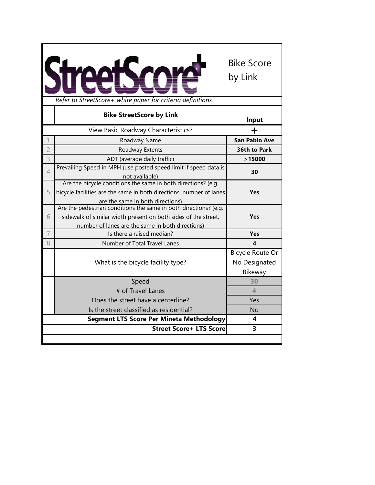| Refer to StreetScore+ white paper for criteria definitions.                                                                                                                                 | <b>Bike Score</b><br>by Link                        |
|---------------------------------------------------------------------------------------------------------------------------------------------------------------------------------------------|-----------------------------------------------------|
| <b>Bike StreetScore by Link</b>                                                                                                                                                             | Input                                               |
| View Basic Roadway Characteristics?                                                                                                                                                         |                                                     |
| 1<br>Roadway Name                                                                                                                                                                           | <b>San Pablo Ave</b>                                |
| $\overline{c}$<br>Roadway Extents                                                                                                                                                           | 36th to Park                                        |
| 3<br>ADT (average daily traffic)                                                                                                                                                            | >15000                                              |
| Prevailing Speed in MPH (use posted speed limit if speed data is<br>4<br>not available)                                                                                                     | 30                                                  |
| Are the bicycle conditions the same in both directions? (e.g.<br>bicycle facilities are the same in both directions, number of lanes<br>5<br>are the same in both directions)               | Yes                                                 |
| Are the pedestrian conditions the same in both directions? (e.g.<br>sidewalk of similar width present on both sides of the street,<br>6<br>number of lanes are the same in both directions) | Yes                                                 |
| 7<br>Is there a raised median?                                                                                                                                                              | Yes                                                 |
| 8<br>Number of Total Travel Lanes                                                                                                                                                           | 4                                                   |
| What is the bicycle facility type?                                                                                                                                                          | <b>Bicycle Route Or</b><br>No Designated<br>Bikeway |
| Speed                                                                                                                                                                                       | 30                                                  |
| # of Travel Lanes                                                                                                                                                                           | 4                                                   |
| Does the street have a centerline?                                                                                                                                                          | Yes                                                 |
| Is the street classified as residential?                                                                                                                                                    | <b>No</b>                                           |
| <b>Segment LTS Score Per Mineta Methodology</b>                                                                                                                                             | 4                                                   |
| <b>Street Score+ LTS Score</b>                                                                                                                                                              | 3                                                   |
|                                                                                                                                                                                             |                                                     |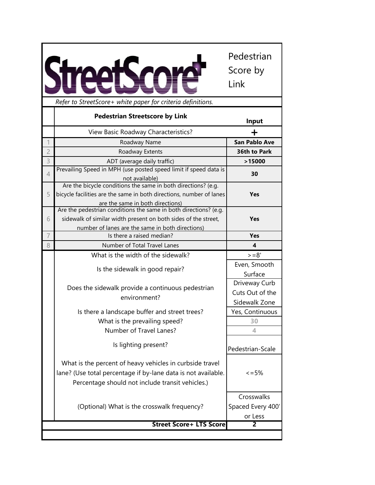*Refer to StreetScore+ white paper for criteria definitions.*

Pedestrian Score by Link

| hejer to streetscore+ writte paper for criteria definitions. |                                                                     |                         |
|--------------------------------------------------------------|---------------------------------------------------------------------|-------------------------|
|                                                              | <b>Pedestrian Streetscore by Link</b>                               | Input                   |
|                                                              | View Basic Roadway Characteristics?                                 | ╈                       |
| 1                                                            | Roadway Name                                                        | <b>San Pablo Ave</b>    |
| $\overline{2}$                                               | Roadway Extents                                                     | 36th to Park            |
| 3                                                            | ADT (average daily traffic)                                         | >15000                  |
| $\overline{4}$                                               | Prevailing Speed in MPH (use posted speed limit if speed data is    | 30                      |
|                                                              | not available)                                                      |                         |
|                                                              | Are the bicycle conditions the same in both directions? (e.g.       |                         |
| 5                                                            | bicycle facilities are the same in both directions, number of lanes | <b>Yes</b>              |
|                                                              | are the same in both directions)                                    |                         |
|                                                              | Are the pedestrian conditions the same in both directions? (e.g.    |                         |
| 6                                                            | sidewalk of similar width present on both sides of the street,      | <b>Yes</b>              |
|                                                              | number of lanes are the same in both directions)                    |                         |
| 7                                                            | Is there a raised median?                                           | <b>Yes</b>              |
| 8                                                            | Number of Total Travel Lanes                                        | $\overline{\mathbf{4}}$ |
|                                                              | What is the width of the sidewalk?                                  | $>=8'$                  |
|                                                              | Is the sidewalk in good repair?                                     | Even, Smooth            |
|                                                              |                                                                     | Surface                 |
|                                                              |                                                                     | Driveway Curb           |
|                                                              | Does the sidewalk provide a continuous pedestrian                   | Cuts Out of the         |
|                                                              | environment?                                                        | Sidewalk Zone           |
|                                                              | Is there a landscape buffer and street trees?                       | Yes, Continuous         |
|                                                              | What is the prevailing speed?                                       | 30                      |
|                                                              | Number of Travel Lanes?                                             | $\overline{4}$          |
|                                                              |                                                                     |                         |
|                                                              | Is lighting present?                                                | Pedestrian-Scale        |
|                                                              | What is the percent of heavy vehicles in curbside travel            |                         |
|                                                              | lane? (Use total percentage if by-lane data is not available.       | $\leq$ = 5%             |
|                                                              | Percentage should not include transit vehicles.)                    |                         |
|                                                              |                                                                     |                         |
|                                                              |                                                                     | Crosswalks              |
|                                                              |                                                                     | Spaced Every 400'       |
|                                                              |                                                                     |                         |
|                                                              | (Optional) What is the crosswalk frequency?                         | or Less                 |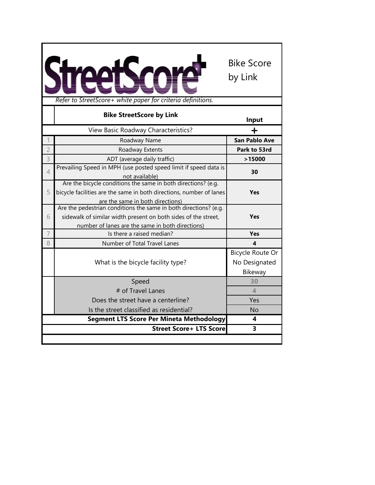|                | Refer to StreetScore+ white paper for criteria definitions.                                                                                                                            | <b>Bike Score</b><br>by Link                 |
|----------------|----------------------------------------------------------------------------------------------------------------------------------------------------------------------------------------|----------------------------------------------|
|                | <b>Bike StreetScore by Link</b>                                                                                                                                                        | Input                                        |
|                | View Basic Roadway Characteristics?                                                                                                                                                    | ╈                                            |
| 1              | Roadway Name                                                                                                                                                                           | <b>San Pablo Ave</b>                         |
| $\overline{c}$ | Roadway Extents                                                                                                                                                                        | Park to 53rd                                 |
| 3              | ADT (average daily traffic)                                                                                                                                                            | >15000                                       |
| $\overline{4}$ | Prevailing Speed in MPH (use posted speed limit if speed data is<br>not available)                                                                                                     | 30                                           |
| 5              | Are the bicycle conditions the same in both directions? (e.g.<br>bicycle facilities are the same in both directions, number of lanes<br>are the same in both directions)               | Yes                                          |
| 6              | Are the pedestrian conditions the same in both directions? (e.g.<br>sidewalk of similar width present on both sides of the street,<br>number of lanes are the same in both directions) | Yes                                          |
| $\overline{7}$ | Is there a raised median?                                                                                                                                                              | Yes                                          |
| 8              | Number of Total Travel Lanes                                                                                                                                                           | 4                                            |
|                | What is the bicycle facility type?                                                                                                                                                     | Bicycle Route Or<br>No Designated<br>Bikeway |
|                | Speed                                                                                                                                                                                  | 30                                           |
|                | # of Travel Lanes                                                                                                                                                                      | $\overline{4}$                               |
|                | Does the street have a centerline?                                                                                                                                                     | Yes                                          |
|                | Is the street classified as residential?                                                                                                                                               | <b>No</b>                                    |
|                | <b>Segment LTS Score Per Mineta Methodology</b>                                                                                                                                        | $\overline{\mathbf{4}}$                      |
|                | <b>Street Score+ LTS Score</b>                                                                                                                                                         | 3                                            |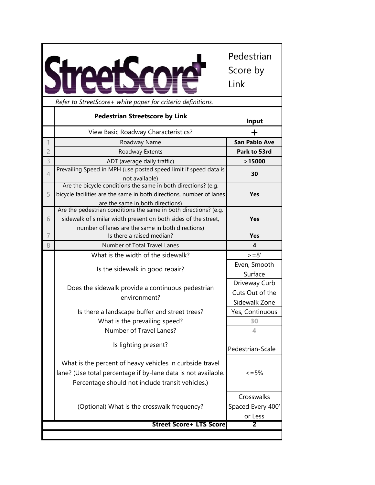**In CH** Δ A

Pedestrian Score by Link

|                | Refer to StreetScore+ white paper for criteria definitions.                                                                                                                            |                         |
|----------------|----------------------------------------------------------------------------------------------------------------------------------------------------------------------------------------|-------------------------|
|                | <b>Pedestrian Streetscore by Link</b>                                                                                                                                                  | Input                   |
|                | View Basic Roadway Characteristics?                                                                                                                                                    | ╈                       |
|                | Roadway Name                                                                                                                                                                           | <b>San Pablo Ave</b>    |
| $\overline{c}$ | Roadway Extents                                                                                                                                                                        | Park to 53rd            |
| 3              | ADT (average daily traffic)                                                                                                                                                            | >15000                  |
| $\overline{4}$ | Prevailing Speed in MPH (use posted speed limit if speed data is<br>not available)                                                                                                     | 30                      |
| 5              | Are the bicycle conditions the same in both directions? (e.g.<br>bicycle facilities are the same in both directions, number of lanes<br>are the same in both directions)               | <b>Yes</b>              |
| 6              | Are the pedestrian conditions the same in both directions? (e.g.<br>sidewalk of similar width present on both sides of the street,<br>number of lanes are the same in both directions) | <b>Yes</b>              |
| $\overline{7}$ | Is there a raised median?                                                                                                                                                              | <b>Yes</b>              |
| 8              | Number of Total Travel Lanes                                                                                                                                                           | $\overline{\mathbf{4}}$ |
|                | What is the width of the sidewalk?                                                                                                                                                     | $>=8'$                  |
|                | Is the sidewalk in good repair?                                                                                                                                                        | Even, Smooth            |
|                |                                                                                                                                                                                        | Surface                 |
|                | Does the sidewalk provide a continuous pedestrian                                                                                                                                      | Driveway Curb           |
|                | environment?                                                                                                                                                                           | Cuts Out of the         |
|                |                                                                                                                                                                                        | Sidewalk Zone           |
|                | Is there a landscape buffer and street trees?                                                                                                                                          | Yes, Continuous         |
|                | What is the prevailing speed?                                                                                                                                                          | 30                      |
|                | Number of Travel Lanes?                                                                                                                                                                | 4                       |
|                | Is lighting present?                                                                                                                                                                   | Pedestrian-Scale        |
|                | What is the percent of heavy vehicles in curbside travel<br>lane? (Use total percentage if by-lane data is not available.<br>Percentage should not include transit vehicles.)          | $\leq$ = 5%             |
|                |                                                                                                                                                                                        | Crosswalks              |
|                | (Optional) What is the crosswalk frequency?                                                                                                                                            | Spaced Every 400'       |
|                |                                                                                                                                                                                        | or Less                 |
|                | <b>Street Score+ LTS Score</b>                                                                                                                                                         | $\overline{2}$          |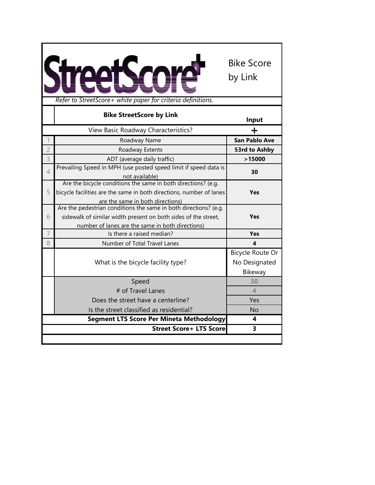

|                | <b>Bike StreetScore by Link</b>                                                                                                                                                        | Input                                        |
|----------------|----------------------------------------------------------------------------------------------------------------------------------------------------------------------------------------|----------------------------------------------|
|                | View Basic Roadway Characteristics?                                                                                                                                                    |                                              |
|                | Roadway Name                                                                                                                                                                           | <b>San Pablo Ave</b>                         |
| $\overline{2}$ | Roadway Extents                                                                                                                                                                        | 53rd to Ashby                                |
| 3              | ADT (average daily traffic)                                                                                                                                                            | >15000                                       |
| $\overline{4}$ | Prevailing Speed in MPH (use posted speed limit if speed data is<br>not available)                                                                                                     | 30                                           |
| 5              | Are the bicycle conditions the same in both directions? (e.g.<br>bicycle facilities are the same in both directions, number of lanes<br>are the same in both directions)               | <b>Yes</b>                                   |
| 6              | Are the pedestrian conditions the same in both directions? (e.g.<br>sidewalk of similar width present on both sides of the street,<br>number of lanes are the same in both directions) | <b>Yes</b>                                   |
| $\overline{7}$ | Is there a raised median?                                                                                                                                                              | <b>Yes</b>                                   |
| 8              | Number of Total Travel Lanes                                                                                                                                                           | 4                                            |
|                | What is the bicycle facility type?                                                                                                                                                     | Bicycle Route Or<br>No Designated<br>Bikeway |
|                | Speed                                                                                                                                                                                  | 30                                           |
|                | # of Travel Lanes                                                                                                                                                                      | $\blacktriangle$                             |
|                | Does the street have a centerline?                                                                                                                                                     | Yes                                          |
|                | Is the street classified as residential?                                                                                                                                               | <b>No</b>                                    |
|                | <b>Segment LTS Score Per Mineta Methodology</b>                                                                                                                                        | 4                                            |
|                | <b>Street Score+ LTS Score</b>                                                                                                                                                         | 3                                            |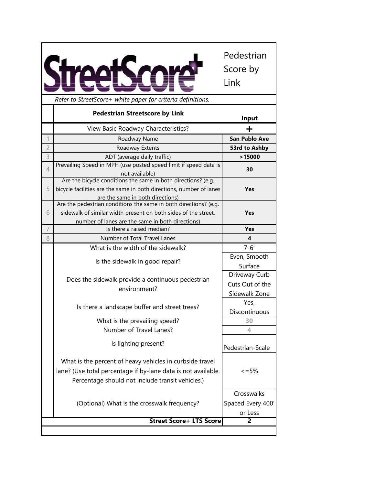|                |                                                                                                                                                                               | Pedestrian<br>Score by<br>Link             |
|----------------|-------------------------------------------------------------------------------------------------------------------------------------------------------------------------------|--------------------------------------------|
|                | Refer to StreetScore+ white paper for criteria definitions.                                                                                                                   |                                            |
|                | <b>Pedestrian Streetscore by Link</b>                                                                                                                                         | Input                                      |
|                | View Basic Roadway Characteristics?                                                                                                                                           | ┿                                          |
|                | Roadway Name                                                                                                                                                                  | <b>San Pablo Ave</b>                       |
| $\overline{c}$ | Roadway Extents                                                                                                                                                               | 53rd to Ashby                              |
| 3              | ADT (average daily traffic)                                                                                                                                                   | >15000                                     |
| 4              | Prevailing Speed in MPH (use posted speed limit if speed data is<br>not available)                                                                                            | 30                                         |
| 5              | Are the bicycle conditions the same in both directions? (e.g.<br>bicycle facilities are the same in both directions, number of lanes<br>are the same in both directions)      | <b>Yes</b>                                 |
|                | Are the pedestrian conditions the same in both directions? (e.g.                                                                                                              |                                            |
| 6              | sidewalk of similar width present on both sides of the street,                                                                                                                | Yes                                        |
|                | number of lanes are the same in both directions)                                                                                                                              |                                            |
| 7              | Is there a raised median?                                                                                                                                                     | Yes                                        |
| 8              | Number of Total Travel Lanes                                                                                                                                                  | 4                                          |
|                | What is the width of the sidewalk?                                                                                                                                            | $7 - 6'$                                   |
|                | Is the sidewalk in good repair?                                                                                                                                               | Even, Smooth                               |
|                |                                                                                                                                                                               | Surface                                    |
|                | Does the sidewalk provide a continuous pedestrian                                                                                                                             | Driveway Curb                              |
|                | environment?                                                                                                                                                                  | Cuts Out of the                            |
|                |                                                                                                                                                                               | Sidewalk Zone                              |
|                | Is there a landscape buffer and street trees?                                                                                                                                 | Yes,                                       |
|                |                                                                                                                                                                               | Discontinuous                              |
|                | What is the prevailing speed?                                                                                                                                                 | 30                                         |
|                | Number of Travel Lanes?                                                                                                                                                       | 4                                          |
|                | Is lighting present?                                                                                                                                                          | Pedestrian-Scale                           |
|                | What is the percent of heavy vehicles in curbside travel<br>lane? (Use total percentage if by-lane data is not available.<br>Percentage should not include transit vehicles.) | $\leq$ = 5%                                |
|                | (Optional) What is the crosswalk frequency?                                                                                                                                   | Crosswalks<br>Spaced Every 400'<br>or Less |
|                | <b>Street Score+ LTS Score</b>                                                                                                                                                | 2                                          |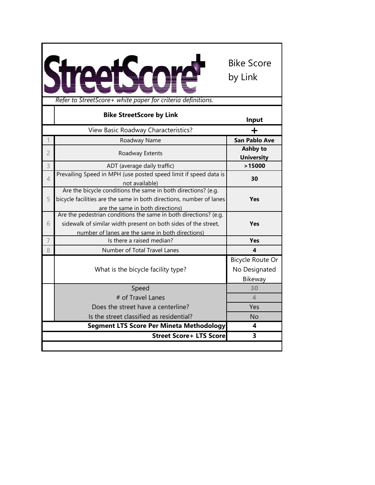| Refer to StreetScore+ white paper for criteria definitions. |                                                                                                      |                      |
|-------------------------------------------------------------|------------------------------------------------------------------------------------------------------|----------------------|
|                                                             | <b>Bike StreetScore by Link</b>                                                                      | Input                |
|                                                             | View Basic Roadway Characteristics?                                                                  | ┿                    |
| 1                                                           | Roadway Name                                                                                         | <b>San Pablo Ave</b> |
| $\overline{2}$                                              | Roadway Extents                                                                                      | <b>Ashby to</b>      |
|                                                             |                                                                                                      | <b>University</b>    |
| 3                                                           | ADT (average daily traffic)                                                                          | >15000               |
| $\overline{4}$                                              | Prevailing Speed in MPH (use posted speed limit if speed data is                                     | 30                   |
|                                                             | not available)                                                                                       |                      |
|                                                             | Are the bicycle conditions the same in both directions? (e.g.                                        |                      |
| 5                                                           | bicycle facilities are the same in both directions, number of lanes                                  | Yes                  |
|                                                             | are the same in both directions)<br>Are the pedestrian conditions the same in both directions? (e.g. |                      |
| 6                                                           | sidewalk of similar width present on both sides of the street,                                       | <b>Yes</b>           |
|                                                             | number of lanes are the same in both directions)                                                     |                      |
| 7                                                           | Is there a raised median?                                                                            | Yes                  |
| 8                                                           | Number of Total Travel Lanes                                                                         | 4                    |
|                                                             |                                                                                                      | Bicycle Route Or     |
|                                                             |                                                                                                      |                      |
|                                                             | What is the bicycle facility type?                                                                   | No Designated        |
|                                                             |                                                                                                      | Bikeway              |
|                                                             | Speed                                                                                                | 30                   |
|                                                             | # of Travel Lanes                                                                                    | 4                    |
|                                                             | Does the street have a centerline?                                                                   | Yes                  |
|                                                             | Is the street classified as residential?                                                             | No                   |
|                                                             | Segment LTS Score Per Mineta Methodology                                                             | 4                    |
|                                                             | <b>Street Score+ LTS Score</b>                                                                       | 3                    |
|                                                             |                                                                                                      |                      |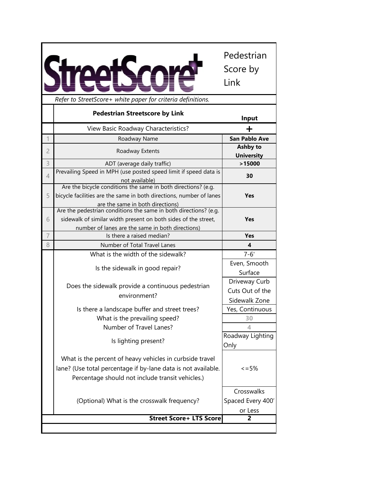|                |                                                                                                                                                                                        | Pedestrian<br>Score by<br>Link                    |
|----------------|----------------------------------------------------------------------------------------------------------------------------------------------------------------------------------------|---------------------------------------------------|
|                | Refer to StreetScore+ white paper for criteria definitions.                                                                                                                            |                                                   |
|                | <b>Pedestrian Streetscore by Link</b>                                                                                                                                                  | Input                                             |
|                | View Basic Roadway Characteristics?                                                                                                                                                    |                                                   |
|                | Roadway Name                                                                                                                                                                           | <b>San Pablo Ave</b>                              |
| $\overline{c}$ | Roadway Extents                                                                                                                                                                        | <b>Ashby to</b><br><b>University</b>              |
| 3              | ADT (average daily traffic)                                                                                                                                                            | >15000                                            |
| $\overline{4}$ | Prevailing Speed in MPH (use posted speed limit if speed data is<br>not available)                                                                                                     | 30                                                |
| 5              | Are the bicycle conditions the same in both directions? (e.g.<br>bicycle facilities are the same in both directions, number of lanes<br>are the same in both directions)               | Yes                                               |
| 6              | Are the pedestrian conditions the same in both directions? (e.g.<br>sidewalk of similar width present on both sides of the street,<br>number of lanes are the same in both directions) | Yes                                               |
| 7              | Is there a raised median?                                                                                                                                                              | <b>Yes</b>                                        |
| 8              | Number of Total Travel Lanes                                                                                                                                                           | $\overline{\mathbf{4}}$                           |
|                | What is the width of the sidewalk?                                                                                                                                                     | $7 - 6'$                                          |
|                | Is the sidewalk in good repair?                                                                                                                                                        | Even, Smooth<br>Surface                           |
|                | Does the sidewalk provide a continuous pedestrian<br>environment?                                                                                                                      | Driveway Curb<br>Cuts Out of the<br>Sidewalk Zone |
|                | Is there a landscape buffer and street trees?                                                                                                                                          | Yes, Continuous                                   |
|                | What is the prevailing speed?                                                                                                                                                          | 30                                                |
|                | Number of Travel Lanes?                                                                                                                                                                | 4                                                 |
|                | Is lighting present?                                                                                                                                                                   | Roadway Lighting<br>Only                          |
|                | What is the percent of heavy vehicles in curbside travel                                                                                                                               | $\leq$ = 5%                                       |
|                | lane? (Use total percentage if by-lane data is not available.<br>Percentage should not include transit vehicles.)                                                                      |                                                   |
|                | (Optional) What is the crosswalk frequency?<br><b>Street Score+ LTS Score</b>                                                                                                          | Crosswalks<br>Spaced Every 400'<br>or Less<br>2   |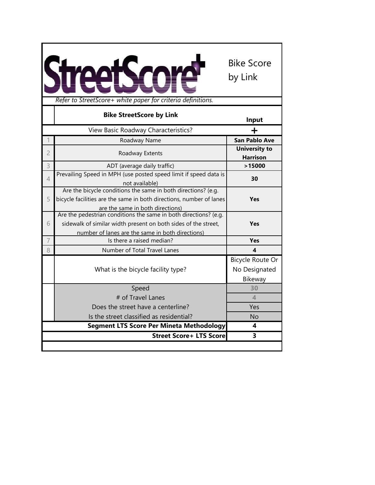| Refer to StreetScore+ white paper for criteria definitions.                                                                                                                                 |                                              |
|---------------------------------------------------------------------------------------------------------------------------------------------------------------------------------------------|----------------------------------------------|
| <b>Bike StreetScore by Link</b>                                                                                                                                                             | Input                                        |
| View Basic Roadway Characteristics?                                                                                                                                                         | ┿                                            |
| Roadway Name                                                                                                                                                                                | <b>San Pablo Ave</b>                         |
| $\overline{2}$<br>Roadway Extents                                                                                                                                                           | <b>University to</b><br><b>Harrison</b>      |
| 3<br>ADT (average daily traffic)                                                                                                                                                            | >15000                                       |
| Prevailing Speed in MPH (use posted speed limit if speed data is<br>$\overline{4}$<br>not available)                                                                                        | 30                                           |
| Are the bicycle conditions the same in both directions? (e.g.<br>bicycle facilities are the same in both directions, number of lanes<br>5<br>are the same in both directions)               | Yes                                          |
| Are the pedestrian conditions the same in both directions? (e.g.<br>sidewalk of similar width present on both sides of the street,<br>6<br>number of lanes are the same in both directions) | <b>Yes</b>                                   |
| 7<br>Is there a raised median?                                                                                                                                                              | <b>Yes</b>                                   |
| 8<br>Number of Total Travel Lanes                                                                                                                                                           | $\boldsymbol{4}$                             |
| What is the bicycle facility type?                                                                                                                                                          | Bicycle Route Or<br>No Designated<br>Bikeway |
| Speed                                                                                                                                                                                       | 30                                           |
| # of Travel Lanes                                                                                                                                                                           | 4                                            |
| Does the street have a centerline?                                                                                                                                                          | Yes                                          |
| Is the street classified as residential?                                                                                                                                                    | <b>No</b>                                    |
| Segment LTS Score Per Mineta Methodology                                                                                                                                                    | 4                                            |
| <b>Street Score+ LTS Score</b>                                                                                                                                                              | 3                                            |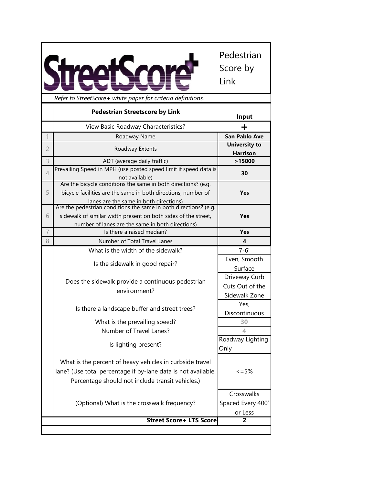|                |                                                                                                                                                                               | Pedestrian<br>Score by<br>Link             |
|----------------|-------------------------------------------------------------------------------------------------------------------------------------------------------------------------------|--------------------------------------------|
|                | Refer to StreetScore+ white paper for criteria definitions.                                                                                                                   |                                            |
|                | <b>Pedestrian Streetscore by Link</b>                                                                                                                                         | Input                                      |
|                | View Basic Roadway Characteristics?                                                                                                                                           | ┿                                          |
|                | Roadway Name                                                                                                                                                                  | <b>San Pablo Ave</b>                       |
| $\overline{2}$ | Roadway Extents                                                                                                                                                               | <b>University to</b><br><b>Harrison</b>    |
| 3              | ADT (average daily traffic)                                                                                                                                                   | >15000                                     |
| $\overline{4}$ | Prevailing Speed in MPH (use posted speed limit if speed data is<br>not available)                                                                                            | 30                                         |
| 5              | Are the bicycle conditions the same in both directions? (e.g.<br>bicycle facilities are the same in both directions, number of<br>lanes are the same in both directions)      | Yes                                        |
|                | Are the pedestrian conditions the same in both directions? (e.g.                                                                                                              |                                            |
| 6              | sidewalk of similar width present on both sides of the street,                                                                                                                | <b>Yes</b>                                 |
| $\overline{7}$ | number of lanes are the same in both directions)                                                                                                                              |                                            |
|                | Is there a raised median?<br>Number of Total Travel Lanes                                                                                                                     | Yes                                        |
| 8              |                                                                                                                                                                               | 4                                          |
|                | What is the width of the sidewalk?                                                                                                                                            | $7 - 6'$                                   |
|                | Is the sidewalk in good repair?                                                                                                                                               | Even, Smooth<br>Surface                    |
|                | Does the sidewalk provide a continuous pedestrian                                                                                                                             | Driveway Curb                              |
|                | environment?                                                                                                                                                                  | Cuts Out of the                            |
|                |                                                                                                                                                                               | Sidewalk Zone                              |
|                | Is there a landscape buffer and street trees?                                                                                                                                 | Yes,<br>Discontinuous                      |
|                | What is the prevailing speed?                                                                                                                                                 | 30                                         |
|                | Number of Travel Lanes?                                                                                                                                                       | 4                                          |
|                | Is lighting present?                                                                                                                                                          | Roadway Lighting<br>Only                   |
|                | What is the percent of heavy vehicles in curbside travel<br>lane? (Use total percentage if by-lane data is not available.<br>Percentage should not include transit vehicles.) | $\leq$ = 5%                                |
|                | (Optional) What is the crosswalk frequency?                                                                                                                                   | Crosswalks<br>Spaced Every 400'<br>or Less |
|                | <b>Street Score+ LTS Score</b>                                                                                                                                                | 2                                          |
|                |                                                                                                                                                                               |                                            |

Г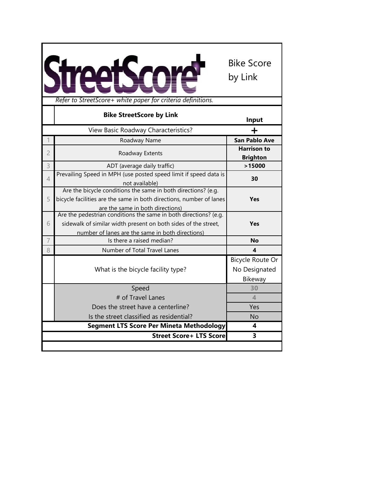| Refer to StreetScore+ white paper for criteria definitions. |                                                                     |                          |
|-------------------------------------------------------------|---------------------------------------------------------------------|--------------------------|
|                                                             | <b>Bike StreetScore by Link</b>                                     | Input                    |
|                                                             | View Basic Roadway Characteristics?                                 | +                        |
| 1                                                           | Roadway Name                                                        | <b>San Pablo Ave</b>     |
| $\overline{2}$                                              | Roadway Extents                                                     | <b>Harrison to</b>       |
|                                                             |                                                                     | <b>Brighton</b>          |
| 3                                                           | ADT (average daily traffic)                                         | >15000                   |
| $\overline{4}$                                              | Prevailing Speed in MPH (use posted speed limit if speed data is    | 30                       |
|                                                             | not available)                                                      |                          |
|                                                             | Are the bicycle conditions the same in both directions? (e.g.       |                          |
| 5                                                           | bicycle facilities are the same in both directions, number of lanes | <b>Yes</b>               |
|                                                             | are the same in both directions)                                    |                          |
|                                                             | Are the pedestrian conditions the same in both directions? (e.g.    |                          |
| 6                                                           | sidewalk of similar width present on both sides of the street,      | Yes                      |
|                                                             | number of lanes are the same in both directions)                    |                          |
| 7                                                           | Is there a raised median?                                           | No                       |
| 8                                                           | Number of Total Travel Lanes                                        | 4                        |
|                                                             |                                                                     | Bicycle Route Or         |
|                                                             | What is the bicycle facility type?                                  | No Designated            |
|                                                             |                                                                     | Bikeway                  |
|                                                             | Speed                                                               | 30                       |
|                                                             | # of Travel Lanes                                                   | $\overline{\mathcal{A}}$ |
|                                                             | Does the street have a centerline?                                  | Yes                      |
|                                                             | Is the street classified as residential?                            | <b>No</b>                |
|                                                             | <b>Segment LTS Score Per Mineta Methodology</b>                     | 4                        |
|                                                             | <b>Street Score+ LTS Score</b>                                      | 3                        |
|                                                             |                                                                     |                          |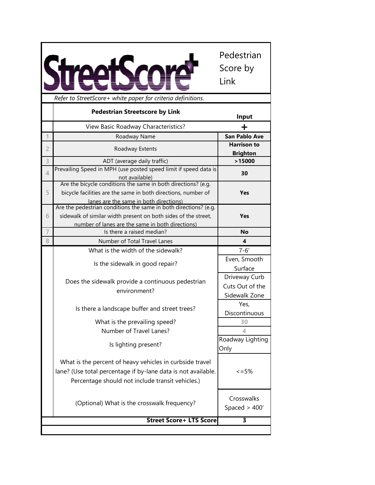|                |                                                                                                                                                                                        | Pedestrian<br>Score by<br>Link                    |
|----------------|----------------------------------------------------------------------------------------------------------------------------------------------------------------------------------------|---------------------------------------------------|
|                | Refer to StreetScore+ white paper for criteria definitions.                                                                                                                            |                                                   |
|                | <b>Pedestrian Streetscore by Link</b>                                                                                                                                                  | Input                                             |
|                | View Basic Roadway Characteristics?                                                                                                                                                    | ┿                                                 |
| 1              | Roadway Name                                                                                                                                                                           | <b>San Pablo Ave</b>                              |
| $\overline{2}$ | Roadway Extents                                                                                                                                                                        | <b>Harrison to</b><br><b>Brighton</b>             |
| 3              | ADT (average daily traffic)                                                                                                                                                            | >15000                                            |
| $\overline{4}$ | Prevailing Speed in MPH (use posted speed limit if speed data is<br>not available)                                                                                                     | 30                                                |
| 5              | Are the bicycle conditions the same in both directions? (e.g.<br>bicycle facilities are the same in both directions, number of<br>lanes are the same in both directions)               | <b>Yes</b>                                        |
| 6              | Are the pedestrian conditions the same in both directions? (e.g.<br>sidewalk of similar width present on both sides of the street,<br>number of lanes are the same in both directions) | <b>Yes</b>                                        |
| 7              | Is there a raised median?                                                                                                                                                              | <b>No</b>                                         |
| 8              | Number of Total Travel Lanes                                                                                                                                                           | $\overline{\mathbf{4}}$                           |
|                | What is the width of the sidewalk?                                                                                                                                                     | $7 - 6'$                                          |
|                | Is the sidewalk in good repair?                                                                                                                                                        | Even, Smooth<br>Surface                           |
|                | Does the sidewalk provide a continuous pedestrian<br>environment?                                                                                                                      | Driveway Curb<br>Cuts Out of the<br>Sidewalk Zone |
|                | Is there a landscape buffer and street trees?                                                                                                                                          | Yes,<br>Discontinuous                             |
|                | What is the prevailing speed?<br>Number of Travel Lanes?                                                                                                                               | 30<br>4                                           |
|                | Is lighting present?                                                                                                                                                                   | Roadway Lighting<br>Only                          |
|                | What is the percent of heavy vehicles in curbside travel<br>lane? (Use total percentage if by-lane data is not available.<br>Percentage should not include transit vehicles.)          | $\leq$ = 5%                                       |
|                | (Optional) What is the crosswalk frequency?                                                                                                                                            | Crosswalks<br>Spaced $>$ 400'                     |
|                | <b>Street Score+ LTS Score</b>                                                                                                                                                         | 3                                                 |
|                |                                                                                                                                                                                        |                                                   |

Г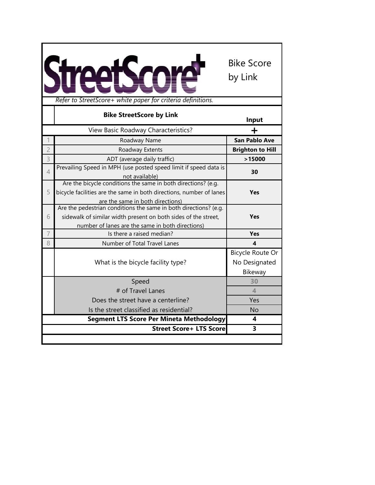

|                | <b>Bike StreetScore by Link</b>                                                                                                    | Input                   |
|----------------|------------------------------------------------------------------------------------------------------------------------------------|-------------------------|
|                | View Basic Roadway Characteristics?                                                                                                |                         |
|                | Roadway Name                                                                                                                       | <b>San Pablo Ave</b>    |
| $\overline{2}$ | Roadway Extents                                                                                                                    | <b>Brighton to Hill</b> |
| 3              | ADT (average daily traffic)                                                                                                        | >15000                  |
| $\overline{4}$ | Prevailing Speed in MPH (use posted speed limit if speed data is                                                                   | 30                      |
|                | not available)<br>Are the bicycle conditions the same in both directions? (e.g.                                                    |                         |
| 5              | bicycle facilities are the same in both directions, number of lanes                                                                | <b>Yes</b>              |
|                | are the same in both directions)                                                                                                   |                         |
| 6              | Are the pedestrian conditions the same in both directions? (e.g.<br>sidewalk of similar width present on both sides of the street, | <b>Yes</b>              |
|                | number of lanes are the same in both directions)                                                                                   |                         |
| 7              | Is there a raised median?                                                                                                          | <b>Yes</b>              |
| 8              | Number of Total Travel Lanes                                                                                                       | $\overline{\mathbf{4}}$ |
|                |                                                                                                                                    | Bicycle Route Or        |
|                | What is the bicycle facility type?                                                                                                 | No Designated           |
|                |                                                                                                                                    | Bikeway                 |
|                | Speed                                                                                                                              | 30                      |
|                | # of Travel Lanes                                                                                                                  | $\blacktriangle$        |
|                | Does the street have a centerline?                                                                                                 | Yes                     |
|                | Is the street classified as residential?                                                                                           | No                      |
|                | <b>Segment LTS Score Per Mineta Methodology</b>                                                                                    | 4                       |
|                | <b>Street Score+ LTS Score</b>                                                                                                     | 3                       |
|                |                                                                                                                                    |                         |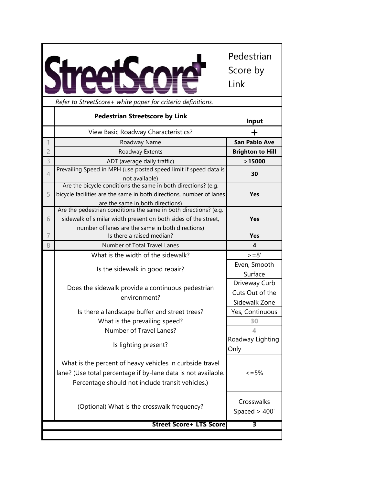*Refer to StreetScore+ white paper for criteria definitions.*

Pedestrian

Score by

Link

**Direction 1 Direction 2 Input Input** View Basic Roadway Characteristics? **+** 1 **San Pablo Ave Roadway Name Consumer San Pablo Ave** 2 Roadway Extents **Brighton to Hill 0** 3 ADT (average daily traffic) **>15000 0 Prevailing Speed in MPH (use posted speed limit if speed data is** not available) **30 25** 5 Are the bicycle conditions the same in both directions? (e.g. bicycle facilities are the same in both directions, number of lanes are the same in both directions) **Yes No** 6 Are the pedestrian conditions the same in both directions? (e.g. sidewalk of similar width present on both sides of the street, number of lanes are the same in both directions) **Yes Yes** 7 Is there a raised median? **Yes Yes** 8 Number of Total Travel Lanes **4 1** What is the width of the sidewalk?  $> = 8'$ Is the sidewalk in good repair? Even, Smooth Surface Does the sidewalk provide a continuous pedestrian environment? Driveway Curb Cuts Out of the Sidewalk Zone Is there a landscape buffer and street trees? Pes, Continuous What is the prevailing speed? Number of Travel Lanes? **4 1** Is lighting present? Roadway Lighting Only What is the percent of heavy vehicles in curbside travel lane? (Use total percentage if by-lane data is not available. Percentage should not include transit vehicles.)  $\leq$  = 5% (Optional) What is the crosswalk frequency? Spaced > 400' **3 Pedestrian Streetscore by Link Street Score+ LTS Score**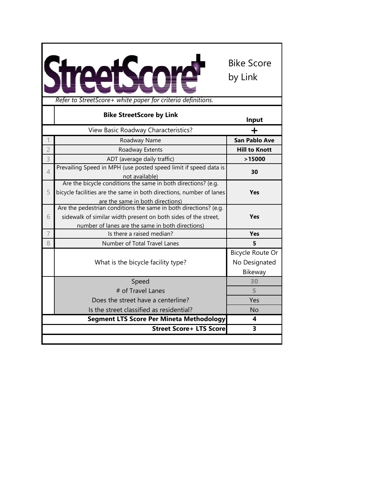

|                | <b>Bike StreetScore by Link</b>                                                                                                                                                        | Input                                        |
|----------------|----------------------------------------------------------------------------------------------------------------------------------------------------------------------------------------|----------------------------------------------|
|                | View Basic Roadway Characteristics?                                                                                                                                                    | +                                            |
|                | Roadway Name                                                                                                                                                                           | <b>San Pablo Ave</b>                         |
| $\overline{c}$ | Roadway Extents                                                                                                                                                                        | <b>Hill to Knott</b>                         |
| 3              | ADT (average daily traffic)                                                                                                                                                            | >15000                                       |
| $\overline{4}$ | Prevailing Speed in MPH (use posted speed limit if speed data is<br>not available)                                                                                                     | 30                                           |
| 5              | Are the bicycle conditions the same in both directions? (e.g.<br>bicycle facilities are the same in both directions, number of lanes<br>are the same in both directions)               | <b>Yes</b>                                   |
| 6              | Are the pedestrian conditions the same in both directions? (e.g.<br>sidewalk of similar width present on both sides of the street,<br>number of lanes are the same in both directions) | <b>Yes</b>                                   |
| 7              | Is there a raised median?                                                                                                                                                              | <b>Yes</b>                                   |
| 8              | Number of Total Travel Lanes                                                                                                                                                           | 5                                            |
|                | What is the bicycle facility type?                                                                                                                                                     | Bicycle Route Or<br>No Designated<br>Bikeway |
|                | Speed                                                                                                                                                                                  | 30                                           |
|                | # of Travel Lanes                                                                                                                                                                      | 5                                            |
|                | Does the street have a centerline?                                                                                                                                                     | Yes                                          |
|                | Is the street classified as residential?                                                                                                                                               | No                                           |
|                | <b>Segment LTS Score Per Mineta Methodology</b>                                                                                                                                        | 4                                            |
|                | <b>Street Score+ LTS Score</b>                                                                                                                                                         | 3                                            |
|                |                                                                                                                                                                                        |                                              |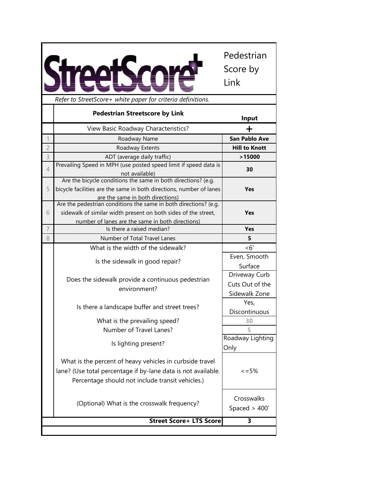| Refer to StreetScore+ white paper for criteria definitions.<br><b>Pedestrian Streetscore by Link</b><br>Input<br>View Basic Roadway Characteristics?<br>┿<br><b>San Pablo Ave</b><br>Roadway Name<br><b>Hill to Knott</b><br>Roadway Extents<br>ADT (average daily traffic)<br>>15000<br>Prevailing Speed in MPH (use posted speed limit if speed data is<br>30<br>not available)<br>Are the bicycle conditions the same in both directions? (e.g.<br>bicycle facilities are the same in both directions, number of lanes<br>Yes<br>are the same in both directions)<br>Are the pedestrian conditions the same in both directions? (e.g.<br>sidewalk of similar width present on both sides of the street,<br>Yes<br>number of lanes are the same in both directions)<br>7<br>Is there a raised median?<br>Yes<br>Number of Total Travel Lanes<br>5<br>What is the width of the sidewalk?<br>< 6'<br>Even, Smooth<br>Is the sidewalk in good repair?<br>Surface<br>Driveway Curb<br>Does the sidewalk provide a continuous pedestrian<br>Cuts Out of the<br>environment?<br>Sidewalk Zone<br>Yes,<br>Is there a landscape buffer and street trees?<br>Discontinuous<br>What is the prevailing speed?<br>30<br>Number of Travel Lanes?<br>5<br>Is lighting present?<br>Only<br>What is the percent of heavy vehicles in curbside travel<br>lane? (Use total percentage if by-lane data is not available.<br>$\leq$ = 5%<br>Percentage should not include transit vehicles.) |                | Pedestrian<br>Score by<br>Link |
|----------------------------------------------------------------------------------------------------------------------------------------------------------------------------------------------------------------------------------------------------------------------------------------------------------------------------------------------------------------------------------------------------------------------------------------------------------------------------------------------------------------------------------------------------------------------------------------------------------------------------------------------------------------------------------------------------------------------------------------------------------------------------------------------------------------------------------------------------------------------------------------------------------------------------------------------------------------------------------------------------------------------------------------------------------------------------------------------------------------------------------------------------------------------------------------------------------------------------------------------------------------------------------------------------------------------------------------------------------------------------------------------------------------------------------------------------------------------------|----------------|--------------------------------|
|                                                                                                                                                                                                                                                                                                                                                                                                                                                                                                                                                                                                                                                                                                                                                                                                                                                                                                                                                                                                                                                                                                                                                                                                                                                                                                                                                                                                                                                                            |                |                                |
|                                                                                                                                                                                                                                                                                                                                                                                                                                                                                                                                                                                                                                                                                                                                                                                                                                                                                                                                                                                                                                                                                                                                                                                                                                                                                                                                                                                                                                                                            |                |                                |
|                                                                                                                                                                                                                                                                                                                                                                                                                                                                                                                                                                                                                                                                                                                                                                                                                                                                                                                                                                                                                                                                                                                                                                                                                                                                                                                                                                                                                                                                            |                |                                |
|                                                                                                                                                                                                                                                                                                                                                                                                                                                                                                                                                                                                                                                                                                                                                                                                                                                                                                                                                                                                                                                                                                                                                                                                                                                                                                                                                                                                                                                                            |                |                                |
|                                                                                                                                                                                                                                                                                                                                                                                                                                                                                                                                                                                                                                                                                                                                                                                                                                                                                                                                                                                                                                                                                                                                                                                                                                                                                                                                                                                                                                                                            | $\overline{c}$ |                                |
|                                                                                                                                                                                                                                                                                                                                                                                                                                                                                                                                                                                                                                                                                                                                                                                                                                                                                                                                                                                                                                                                                                                                                                                                                                                                                                                                                                                                                                                                            | 3              |                                |
|                                                                                                                                                                                                                                                                                                                                                                                                                                                                                                                                                                                                                                                                                                                                                                                                                                                                                                                                                                                                                                                                                                                                                                                                                                                                                                                                                                                                                                                                            | 4              |                                |
|                                                                                                                                                                                                                                                                                                                                                                                                                                                                                                                                                                                                                                                                                                                                                                                                                                                                                                                                                                                                                                                                                                                                                                                                                                                                                                                                                                                                                                                                            | 5              |                                |
|                                                                                                                                                                                                                                                                                                                                                                                                                                                                                                                                                                                                                                                                                                                                                                                                                                                                                                                                                                                                                                                                                                                                                                                                                                                                                                                                                                                                                                                                            |                |                                |
|                                                                                                                                                                                                                                                                                                                                                                                                                                                                                                                                                                                                                                                                                                                                                                                                                                                                                                                                                                                                                                                                                                                                                                                                                                                                                                                                                                                                                                                                            | 6              |                                |
|                                                                                                                                                                                                                                                                                                                                                                                                                                                                                                                                                                                                                                                                                                                                                                                                                                                                                                                                                                                                                                                                                                                                                                                                                                                                                                                                                                                                                                                                            |                |                                |
|                                                                                                                                                                                                                                                                                                                                                                                                                                                                                                                                                                                                                                                                                                                                                                                                                                                                                                                                                                                                                                                                                                                                                                                                                                                                                                                                                                                                                                                                            |                |                                |
|                                                                                                                                                                                                                                                                                                                                                                                                                                                                                                                                                                                                                                                                                                                                                                                                                                                                                                                                                                                                                                                                                                                                                                                                                                                                                                                                                                                                                                                                            | 8              |                                |
|                                                                                                                                                                                                                                                                                                                                                                                                                                                                                                                                                                                                                                                                                                                                                                                                                                                                                                                                                                                                                                                                                                                                                                                                                                                                                                                                                                                                                                                                            |                |                                |
|                                                                                                                                                                                                                                                                                                                                                                                                                                                                                                                                                                                                                                                                                                                                                                                                                                                                                                                                                                                                                                                                                                                                                                                                                                                                                                                                                                                                                                                                            |                |                                |
|                                                                                                                                                                                                                                                                                                                                                                                                                                                                                                                                                                                                                                                                                                                                                                                                                                                                                                                                                                                                                                                                                                                                                                                                                                                                                                                                                                                                                                                                            |                |                                |
|                                                                                                                                                                                                                                                                                                                                                                                                                                                                                                                                                                                                                                                                                                                                                                                                                                                                                                                                                                                                                                                                                                                                                                                                                                                                                                                                                                                                                                                                            |                |                                |
|                                                                                                                                                                                                                                                                                                                                                                                                                                                                                                                                                                                                                                                                                                                                                                                                                                                                                                                                                                                                                                                                                                                                                                                                                                                                                                                                                                                                                                                                            |                |                                |
|                                                                                                                                                                                                                                                                                                                                                                                                                                                                                                                                                                                                                                                                                                                                                                                                                                                                                                                                                                                                                                                                                                                                                                                                                                                                                                                                                                                                                                                                            |                |                                |
|                                                                                                                                                                                                                                                                                                                                                                                                                                                                                                                                                                                                                                                                                                                                                                                                                                                                                                                                                                                                                                                                                                                                                                                                                                                                                                                                                                                                                                                                            |                | Roadway Lighting               |
|                                                                                                                                                                                                                                                                                                                                                                                                                                                                                                                                                                                                                                                                                                                                                                                                                                                                                                                                                                                                                                                                                                                                                                                                                                                                                                                                                                                                                                                                            |                |                                |
| (Optional) What is the crosswalk frequency?<br>Spaced $>$ 400'                                                                                                                                                                                                                                                                                                                                                                                                                                                                                                                                                                                                                                                                                                                                                                                                                                                                                                                                                                                                                                                                                                                                                                                                                                                                                                                                                                                                             |                | Crosswalks                     |
| <b>Street Score+ LTS Score</b><br>3                                                                                                                                                                                                                                                                                                                                                                                                                                                                                                                                                                                                                                                                                                                                                                                                                                                                                                                                                                                                                                                                                                                                                                                                                                                                                                                                                                                                                                        |                |                                |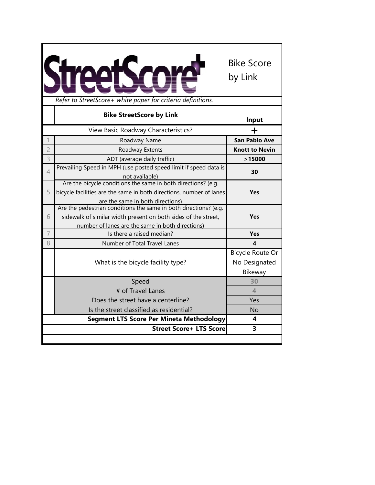

|                | <b>Bike StreetScore by Link</b>                                                                                                      | Input                 |
|----------------|--------------------------------------------------------------------------------------------------------------------------------------|-----------------------|
|                | View Basic Roadway Characteristics?                                                                                                  |                       |
|                | Roadway Name                                                                                                                         | <b>San Pablo Ave</b>  |
| $\overline{2}$ | Roadway Extents                                                                                                                      | <b>Knott to Nevin</b> |
| 3              | ADT (average daily traffic)                                                                                                          | >15000                |
| $\overline{4}$ | Prevailing Speed in MPH (use posted speed limit if speed data is                                                                     | 30                    |
|                | not available)                                                                                                                       |                       |
| 5              | Are the bicycle conditions the same in both directions? (e.g.<br>bicycle facilities are the same in both directions, number of lanes | <b>Yes</b>            |
|                | are the same in both directions)                                                                                                     |                       |
|                | Are the pedestrian conditions the same in both directions? (e.g.                                                                     |                       |
| 6              | sidewalk of similar width present on both sides of the street,                                                                       | <b>Yes</b>            |
|                | number of lanes are the same in both directions)                                                                                     |                       |
| 7              | Is there a raised median?                                                                                                            | <b>Yes</b>            |
| 8              | Number of Total Travel Lanes                                                                                                         | 4                     |
|                |                                                                                                                                      | Bicycle Route Or      |
|                | What is the bicycle facility type?                                                                                                   | No Designated         |
|                |                                                                                                                                      | Bikeway               |
|                | Speed                                                                                                                                | 30                    |
|                | # of Travel Lanes                                                                                                                    | $\blacktriangle$      |
|                | Does the street have a centerline?                                                                                                   | Yes                   |
|                | Is the street classified as residential?                                                                                             | No                    |
|                | <b>Segment LTS Score Per Mineta Methodology</b>                                                                                      | 4                     |
|                | <b>Street Score+ LTS Score</b>                                                                                                       | 3                     |
|                |                                                                                                                                      |                       |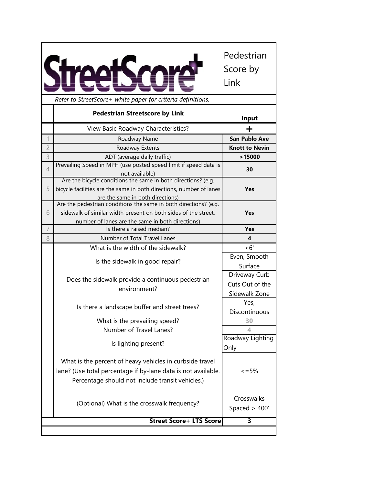| Refer to StreetScore+ white paper for criteria definitions.<br><b>Pedestrian Streetscore by Link</b><br>View Basic Roadway Characteristics?<br>Roadway Name<br>$\overline{c}$<br>Roadway Extents<br>3<br>ADT (average daily traffic)<br>Prevailing Speed in MPH (use posted speed limit if speed data is<br>4 | Input<br>┿<br><b>San Pablo Ave</b> |
|---------------------------------------------------------------------------------------------------------------------------------------------------------------------------------------------------------------------------------------------------------------------------------------------------------------|------------------------------------|
|                                                                                                                                                                                                                                                                                                               |                                    |
|                                                                                                                                                                                                                                                                                                               |                                    |
|                                                                                                                                                                                                                                                                                                               |                                    |
|                                                                                                                                                                                                                                                                                                               |                                    |
|                                                                                                                                                                                                                                                                                                               | <b>Knott to Nevin</b>              |
|                                                                                                                                                                                                                                                                                                               | >15000                             |
| not available)                                                                                                                                                                                                                                                                                                | 30                                 |
| Are the bicycle conditions the same in both directions? (e.g.<br>bicycle facilities are the same in both directions, number of lanes<br>5<br>are the same in both directions)                                                                                                                                 | Yes                                |
| Are the pedestrian conditions the same in both directions? (e.g.                                                                                                                                                                                                                                              |                                    |
| sidewalk of similar width present on both sides of the street,<br>6<br>number of lanes are the same in both directions)                                                                                                                                                                                       | Yes                                |
| 7<br>Is there a raised median?                                                                                                                                                                                                                                                                                | Yes                                |
| 8<br>Number of Total Travel Lanes                                                                                                                                                                                                                                                                             | 4                                  |
| What is the width of the sidewalk?                                                                                                                                                                                                                                                                            | <6'                                |
|                                                                                                                                                                                                                                                                                                               | Even, Smooth                       |
| Is the sidewalk in good repair?                                                                                                                                                                                                                                                                               | Surface                            |
| Does the sidewalk provide a continuous pedestrian                                                                                                                                                                                                                                                             | Driveway Curb                      |
| environment?                                                                                                                                                                                                                                                                                                  | Cuts Out of the                    |
|                                                                                                                                                                                                                                                                                                               | Sidewalk Zone                      |
| Is there a landscape buffer and street trees?                                                                                                                                                                                                                                                                 | Yes,                               |
|                                                                                                                                                                                                                                                                                                               | Discontinuous                      |
| What is the prevailing speed?                                                                                                                                                                                                                                                                                 | 30                                 |
| Number of Travel Lanes?                                                                                                                                                                                                                                                                                       | 4                                  |
| Is lighting present?<br>Only                                                                                                                                                                                                                                                                                  | Roadway Lighting                   |
| What is the percent of heavy vehicles in curbside travel<br>lane? (Use total percentage if by-lane data is not available.<br>Percentage should not include transit vehicles.)                                                                                                                                 | $\leq$ = 5%                        |
| (Optional) What is the crosswalk frequency?                                                                                                                                                                                                                                                                   | Crosswalks<br>Spaced $>$ 400'      |
| <b>Street Score+ LTS Score</b>                                                                                                                                                                                                                                                                                | 3                                  |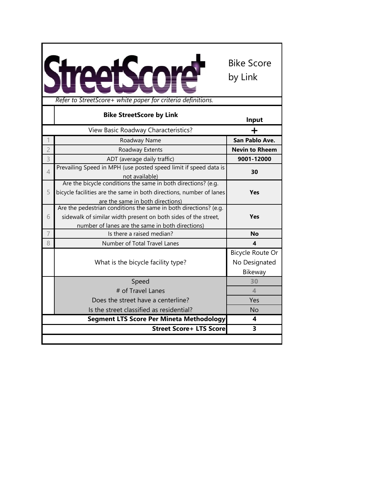

|                | <b>Bike StreetScore by Link</b>                                                                                                                                                        | Input                                        |
|----------------|----------------------------------------------------------------------------------------------------------------------------------------------------------------------------------------|----------------------------------------------|
|                | View Basic Roadway Characteristics?                                                                                                                                                    | +                                            |
|                | Roadway Name                                                                                                                                                                           | San Pablo Ave.                               |
| $\overline{2}$ | Roadway Extents                                                                                                                                                                        | <b>Nevin to Rheem</b>                        |
| 3              | ADT (average daily traffic)                                                                                                                                                            | 9001-12000                                   |
| 4              | Prevailing Speed in MPH (use posted speed limit if speed data is<br>not available)                                                                                                     | 30                                           |
| 5              | Are the bicycle conditions the same in both directions? (e.g.<br>bicycle facilities are the same in both directions, number of lanes<br>are the same in both directions)               | <b>Yes</b>                                   |
| 6              | Are the pedestrian conditions the same in both directions? (e.g.<br>sidewalk of similar width present on both sides of the street,<br>number of lanes are the same in both directions) | <b>Yes</b>                                   |
| $\overline{7}$ | Is there a raised median?                                                                                                                                                              | <b>No</b>                                    |
| 8              | Number of Total Travel Lanes                                                                                                                                                           | 4                                            |
|                | What is the bicycle facility type?                                                                                                                                                     | Bicycle Route Or<br>No Designated<br>Bikeway |
|                | Speed                                                                                                                                                                                  | 30                                           |
|                | # of Travel Lanes                                                                                                                                                                      | $\Delta$                                     |
|                | Does the street have a centerline?                                                                                                                                                     | Yes                                          |
|                | Is the street classified as residential?                                                                                                                                               | <b>No</b>                                    |
|                | Segment LTS Score Per Mineta Methodology                                                                                                                                               | 4                                            |
|                | <b>Street Score+ LTS Score</b>                                                                                                                                                         | 3                                            |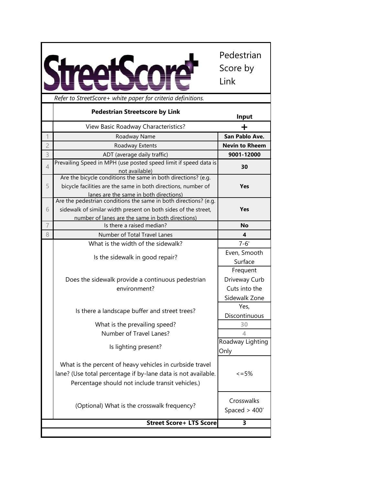| <b>Pedestrian Streetscore by Link</b><br>Input<br>View Basic Roadway Characteristics?<br>San Pablo Ave.<br>Roadway Name<br><b>Nevin to Rheem</b><br>Roadway Extents<br>ADT (average daily traffic)<br>9001-12000<br>Prevailing Speed in MPH (use posted speed limit if speed data is<br>30<br>not available)<br>Are the bicycle conditions the same in both directions? (e.g.<br>bicycle facilities are the same in both directions, number of<br><b>Yes</b><br>lanes are the same in both directions)<br>Are the pedestrian conditions the same in both directions? (e.g.<br>sidewalk of similar width present on both sides of the street,<br>Yes<br>number of lanes are the same in both directions)<br>Is there a raised median?<br><b>No</b><br>Number of Total Travel Lanes<br>4<br>$7 - 6'$<br>What is the width of the sidewalk?<br>Even, Smooth<br>Is the sidewalk in good repair?<br>Surface<br>Frequent<br>Driveway Curb<br>Does the sidewalk provide a continuous pedestrian<br>Cuts into the<br>environment?<br>Sidewalk Zone<br>Yes,<br>Is there a landscape buffer and street trees?<br>Discontinuous<br>What is the prevailing speed?<br>30<br>Number of Travel Lanes?<br>4<br>Roadway Lighting<br>Is lighting present?<br>Only<br>What is the percent of heavy vehicles in curbside travel<br>lane? (Use total percentage if by-lane data is not available.<br>$\leq$ = 5%<br>Percentage should not include transit vehicles.)<br>Crosswalks<br>(Optional) What is the crosswalk frequency?<br>Spaced $>$ 400'<br><b>Street Score+ LTS Score</b><br>3 |                |                                                             | Pedestrian<br>Score by<br>Link |
|------------------------------------------------------------------------------------------------------------------------------------------------------------------------------------------------------------------------------------------------------------------------------------------------------------------------------------------------------------------------------------------------------------------------------------------------------------------------------------------------------------------------------------------------------------------------------------------------------------------------------------------------------------------------------------------------------------------------------------------------------------------------------------------------------------------------------------------------------------------------------------------------------------------------------------------------------------------------------------------------------------------------------------------------------------------------------------------------------------------------------------------------------------------------------------------------------------------------------------------------------------------------------------------------------------------------------------------------------------------------------------------------------------------------------------------------------------------------------------------------------------------------------------------------------------------------|----------------|-------------------------------------------------------------|--------------------------------|
|                                                                                                                                                                                                                                                                                                                                                                                                                                                                                                                                                                                                                                                                                                                                                                                                                                                                                                                                                                                                                                                                                                                                                                                                                                                                                                                                                                                                                                                                                                                                                                        |                | Refer to StreetScore+ white paper for criteria definitions. |                                |
|                                                                                                                                                                                                                                                                                                                                                                                                                                                                                                                                                                                                                                                                                                                                                                                                                                                                                                                                                                                                                                                                                                                                                                                                                                                                                                                                                                                                                                                                                                                                                                        |                |                                                             |                                |
|                                                                                                                                                                                                                                                                                                                                                                                                                                                                                                                                                                                                                                                                                                                                                                                                                                                                                                                                                                                                                                                                                                                                                                                                                                                                                                                                                                                                                                                                                                                                                                        |                |                                                             |                                |
|                                                                                                                                                                                                                                                                                                                                                                                                                                                                                                                                                                                                                                                                                                                                                                                                                                                                                                                                                                                                                                                                                                                                                                                                                                                                                                                                                                                                                                                                                                                                                                        | 1              |                                                             |                                |
|                                                                                                                                                                                                                                                                                                                                                                                                                                                                                                                                                                                                                                                                                                                                                                                                                                                                                                                                                                                                                                                                                                                                                                                                                                                                                                                                                                                                                                                                                                                                                                        | $\overline{c}$ |                                                             |                                |
|                                                                                                                                                                                                                                                                                                                                                                                                                                                                                                                                                                                                                                                                                                                                                                                                                                                                                                                                                                                                                                                                                                                                                                                                                                                                                                                                                                                                                                                                                                                                                                        | 3              |                                                             |                                |
|                                                                                                                                                                                                                                                                                                                                                                                                                                                                                                                                                                                                                                                                                                                                                                                                                                                                                                                                                                                                                                                                                                                                                                                                                                                                                                                                                                                                                                                                                                                                                                        | $\overline{4}$ |                                                             |                                |
|                                                                                                                                                                                                                                                                                                                                                                                                                                                                                                                                                                                                                                                                                                                                                                                                                                                                                                                                                                                                                                                                                                                                                                                                                                                                                                                                                                                                                                                                                                                                                                        |                |                                                             |                                |
|                                                                                                                                                                                                                                                                                                                                                                                                                                                                                                                                                                                                                                                                                                                                                                                                                                                                                                                                                                                                                                                                                                                                                                                                                                                                                                                                                                                                                                                                                                                                                                        | 5              |                                                             |                                |
|                                                                                                                                                                                                                                                                                                                                                                                                                                                                                                                                                                                                                                                                                                                                                                                                                                                                                                                                                                                                                                                                                                                                                                                                                                                                                                                                                                                                                                                                                                                                                                        |                |                                                             |                                |
|                                                                                                                                                                                                                                                                                                                                                                                                                                                                                                                                                                                                                                                                                                                                                                                                                                                                                                                                                                                                                                                                                                                                                                                                                                                                                                                                                                                                                                                                                                                                                                        | 6              |                                                             |                                |
|                                                                                                                                                                                                                                                                                                                                                                                                                                                                                                                                                                                                                                                                                                                                                                                                                                                                                                                                                                                                                                                                                                                                                                                                                                                                                                                                                                                                                                                                                                                                                                        |                |                                                             |                                |
|                                                                                                                                                                                                                                                                                                                                                                                                                                                                                                                                                                                                                                                                                                                                                                                                                                                                                                                                                                                                                                                                                                                                                                                                                                                                                                                                                                                                                                                                                                                                                                        | $\overline{7}$ |                                                             |                                |
|                                                                                                                                                                                                                                                                                                                                                                                                                                                                                                                                                                                                                                                                                                                                                                                                                                                                                                                                                                                                                                                                                                                                                                                                                                                                                                                                                                                                                                                                                                                                                                        | 8              |                                                             |                                |
|                                                                                                                                                                                                                                                                                                                                                                                                                                                                                                                                                                                                                                                                                                                                                                                                                                                                                                                                                                                                                                                                                                                                                                                                                                                                                                                                                                                                                                                                                                                                                                        |                |                                                             |                                |
|                                                                                                                                                                                                                                                                                                                                                                                                                                                                                                                                                                                                                                                                                                                                                                                                                                                                                                                                                                                                                                                                                                                                                                                                                                                                                                                                                                                                                                                                                                                                                                        |                |                                                             |                                |
|                                                                                                                                                                                                                                                                                                                                                                                                                                                                                                                                                                                                                                                                                                                                                                                                                                                                                                                                                                                                                                                                                                                                                                                                                                                                                                                                                                                                                                                                                                                                                                        |                |                                                             |                                |
|                                                                                                                                                                                                                                                                                                                                                                                                                                                                                                                                                                                                                                                                                                                                                                                                                                                                                                                                                                                                                                                                                                                                                                                                                                                                                                                                                                                                                                                                                                                                                                        |                |                                                             |                                |
|                                                                                                                                                                                                                                                                                                                                                                                                                                                                                                                                                                                                                                                                                                                                                                                                                                                                                                                                                                                                                                                                                                                                                                                                                                                                                                                                                                                                                                                                                                                                                                        |                |                                                             |                                |
|                                                                                                                                                                                                                                                                                                                                                                                                                                                                                                                                                                                                                                                                                                                                                                                                                                                                                                                                                                                                                                                                                                                                                                                                                                                                                                                                                                                                                                                                                                                                                                        |                |                                                             |                                |
|                                                                                                                                                                                                                                                                                                                                                                                                                                                                                                                                                                                                                                                                                                                                                                                                                                                                                                                                                                                                                                                                                                                                                                                                                                                                                                                                                                                                                                                                                                                                                                        |                |                                                             |                                |
|                                                                                                                                                                                                                                                                                                                                                                                                                                                                                                                                                                                                                                                                                                                                                                                                                                                                                                                                                                                                                                                                                                                                                                                                                                                                                                                                                                                                                                                                                                                                                                        |                |                                                             |                                |
|                                                                                                                                                                                                                                                                                                                                                                                                                                                                                                                                                                                                                                                                                                                                                                                                                                                                                                                                                                                                                                                                                                                                                                                                                                                                                                                                                                                                                                                                                                                                                                        |                |                                                             |                                |
|                                                                                                                                                                                                                                                                                                                                                                                                                                                                                                                                                                                                                                                                                                                                                                                                                                                                                                                                                                                                                                                                                                                                                                                                                                                                                                                                                                                                                                                                                                                                                                        |                |                                                             |                                |
|                                                                                                                                                                                                                                                                                                                                                                                                                                                                                                                                                                                                                                                                                                                                                                                                                                                                                                                                                                                                                                                                                                                                                                                                                                                                                                                                                                                                                                                                                                                                                                        |                |                                                             |                                |
|                                                                                                                                                                                                                                                                                                                                                                                                                                                                                                                                                                                                                                                                                                                                                                                                                                                                                                                                                                                                                                                                                                                                                                                                                                                                                                                                                                                                                                                                                                                                                                        |                |                                                             |                                |
|                                                                                                                                                                                                                                                                                                                                                                                                                                                                                                                                                                                                                                                                                                                                                                                                                                                                                                                                                                                                                                                                                                                                                                                                                                                                                                                                                                                                                                                                                                                                                                        |                |                                                             |                                |
|                                                                                                                                                                                                                                                                                                                                                                                                                                                                                                                                                                                                                                                                                                                                                                                                                                                                                                                                                                                                                                                                                                                                                                                                                                                                                                                                                                                                                                                                                                                                                                        |                |                                                             |                                |
|                                                                                                                                                                                                                                                                                                                                                                                                                                                                                                                                                                                                                                                                                                                                                                                                                                                                                                                                                                                                                                                                                                                                                                                                                                                                                                                                                                                                                                                                                                                                                                        |                |                                                             |                                |
|                                                                                                                                                                                                                                                                                                                                                                                                                                                                                                                                                                                                                                                                                                                                                                                                                                                                                                                                                                                                                                                                                                                                                                                                                                                                                                                                                                                                                                                                                                                                                                        |                |                                                             |                                |
|                                                                                                                                                                                                                                                                                                                                                                                                                                                                                                                                                                                                                                                                                                                                                                                                                                                                                                                                                                                                                                                                                                                                                                                                                                                                                                                                                                                                                                                                                                                                                                        |                |                                                             |                                |
|                                                                                                                                                                                                                                                                                                                                                                                                                                                                                                                                                                                                                                                                                                                                                                                                                                                                                                                                                                                                                                                                                                                                                                                                                                                                                                                                                                                                                                                                                                                                                                        |                |                                                             |                                |
|                                                                                                                                                                                                                                                                                                                                                                                                                                                                                                                                                                                                                                                                                                                                                                                                                                                                                                                                                                                                                                                                                                                                                                                                                                                                                                                                                                                                                                                                                                                                                                        |                |                                                             |                                |
|                                                                                                                                                                                                                                                                                                                                                                                                                                                                                                                                                                                                                                                                                                                                                                                                                                                                                                                                                                                                                                                                                                                                                                                                                                                                                                                                                                                                                                                                                                                                                                        |                |                                                             |                                |
|                                                                                                                                                                                                                                                                                                                                                                                                                                                                                                                                                                                                                                                                                                                                                                                                                                                                                                                                                                                                                                                                                                                                                                                                                                                                                                                                                                                                                                                                                                                                                                        |                |                                                             |                                |

 $\mathbf{r}$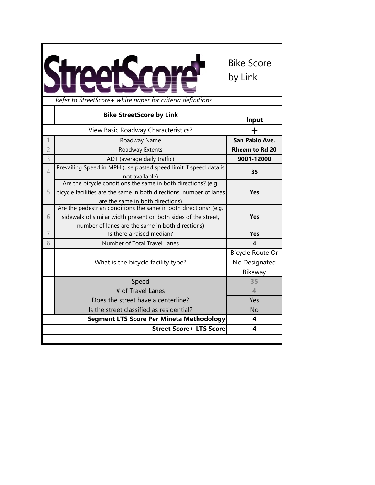

|                | <b>Bike StreetScore by Link</b>                                                                                                                                                        | Input                                        |
|----------------|----------------------------------------------------------------------------------------------------------------------------------------------------------------------------------------|----------------------------------------------|
|                | View Basic Roadway Characteristics?                                                                                                                                                    |                                              |
|                | Roadway Name                                                                                                                                                                           | San Pablo Ave.                               |
| $\overline{2}$ | Roadway Extents                                                                                                                                                                        | <b>Rheem to Rd 20</b>                        |
| 3              | ADT (average daily traffic)                                                                                                                                                            | 9001-12000                                   |
| $\overline{4}$ | Prevailing Speed in MPH (use posted speed limit if speed data is<br>not available)                                                                                                     | 35                                           |
| 5              | Are the bicycle conditions the same in both directions? (e.g.<br>bicycle facilities are the same in both directions, number of lanes<br>are the same in both directions)               | <b>Yes</b>                                   |
| 6              | Are the pedestrian conditions the same in both directions? (e.g.<br>sidewalk of similar width present on both sides of the street,<br>number of lanes are the same in both directions) | <b>Yes</b>                                   |
| 7              | Is there a raised median?                                                                                                                                                              | <b>Yes</b>                                   |
| 8              | Number of Total Travel Lanes                                                                                                                                                           | 4                                            |
|                | What is the bicycle facility type?                                                                                                                                                     | Bicycle Route Or<br>No Designated<br>Bikeway |
|                | Speed                                                                                                                                                                                  | 35                                           |
|                | # of Travel Lanes                                                                                                                                                                      | $\blacktriangle$                             |
|                | Does the street have a centerline?                                                                                                                                                     | Yes                                          |
|                | Is the street classified as residential?                                                                                                                                               | <b>No</b>                                    |
|                | <b>Segment LTS Score Per Mineta Methodology</b>                                                                                                                                        | 4                                            |
|                | <b>Street Score+ LTS Score</b>                                                                                                                                                         | 4                                            |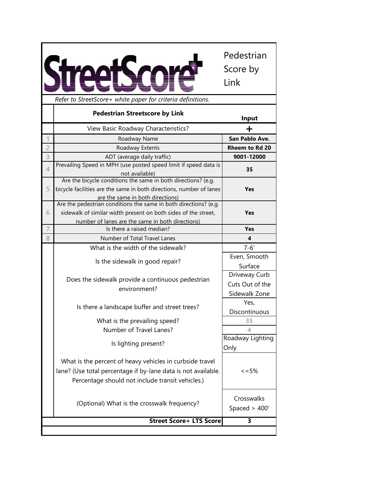|                |                                                                                                                                                                               | Pedestrian<br>Score by<br>Link |
|----------------|-------------------------------------------------------------------------------------------------------------------------------------------------------------------------------|--------------------------------|
|                | Refer to StreetScore+ white paper for criteria definitions.                                                                                                                   |                                |
|                | <b>Pedestrian Streetscore by Link</b>                                                                                                                                         | Input                          |
|                | View Basic Roadway Characteristics?                                                                                                                                           | ┿                              |
|                | Roadway Name                                                                                                                                                                  | San Pablo Ave.                 |
| $\overline{c}$ | Roadway Extents                                                                                                                                                               | <b>Rheem to Rd 20</b>          |
| 3              | ADT (average daily traffic)                                                                                                                                                   | 9001-12000                     |
| 4              | Prevailing Speed in MPH (use posted speed limit if speed data is<br>not available)                                                                                            | 35                             |
| 5              | Are the bicycle conditions the same in both directions? (e.g.<br>bicycle facilities are the same in both directions, number of lanes<br>are the same in both directions)      | <b>Yes</b>                     |
|                | Are the pedestrian conditions the same in both directions? (e.g.                                                                                                              |                                |
| 6              | sidewalk of similar width present on both sides of the street,                                                                                                                | Yes                            |
| 7              | number of lanes are the same in both directions)<br>Is there a raised median?                                                                                                 |                                |
|                | Number of Total Travel Lanes                                                                                                                                                  | Yes<br>4                       |
| 8              |                                                                                                                                                                               |                                |
|                | What is the width of the sidewalk?                                                                                                                                            | $7 - 6'$<br>Even, Smooth       |
|                | Is the sidewalk in good repair?                                                                                                                                               | Surface                        |
|                |                                                                                                                                                                               | Driveway Curb                  |
|                | Does the sidewalk provide a continuous pedestrian                                                                                                                             | Cuts Out of the                |
|                | environment?                                                                                                                                                                  | Sidewalk Zone                  |
|                |                                                                                                                                                                               | Yes,                           |
|                | Is there a landscape buffer and street trees?                                                                                                                                 | Discontinuous                  |
|                | What is the prevailing speed?                                                                                                                                                 | 35                             |
|                | Number of Travel Lanes?                                                                                                                                                       | 4                              |
|                | Is lighting present?                                                                                                                                                          | Roadway Lighting               |
|                | What is the percent of heavy vehicles in curbside travel<br>lane? (Use total percentage if by-lane data is not available.<br>Percentage should not include transit vehicles.) | Only<br>$\leq$ = 5%            |
|                | (Optional) What is the crosswalk frequency?                                                                                                                                   | Crosswalks<br>Spaced $>$ 400'  |
|                |                                                                                                                                                                               |                                |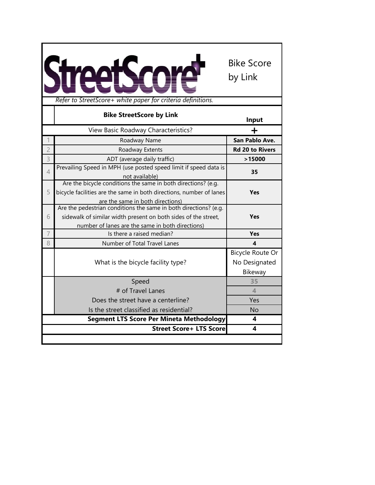

|                | <b>Bike StreetScore by Link</b>                                                                                                                                                        | Input                                        |
|----------------|----------------------------------------------------------------------------------------------------------------------------------------------------------------------------------------|----------------------------------------------|
|                | View Basic Roadway Characteristics?                                                                                                                                                    |                                              |
|                | Roadway Name                                                                                                                                                                           | San Pablo Ave.                               |
| $\overline{2}$ | Roadway Extents                                                                                                                                                                        | <b>Rd 20 to Rivers</b>                       |
| 3              | ADT (average daily traffic)                                                                                                                                                            | >15000                                       |
| $\overline{4}$ | Prevailing Speed in MPH (use posted speed limit if speed data is<br>not available)                                                                                                     | 35                                           |
| 5              | Are the bicycle conditions the same in both directions? (e.g.<br>bicycle facilities are the same in both directions, number of lanes<br>are the same in both directions)               | <b>Yes</b>                                   |
| 6              | Are the pedestrian conditions the same in both directions? (e.g.<br>sidewalk of similar width present on both sides of the street,<br>number of lanes are the same in both directions) | <b>Yes</b>                                   |
| $\overline{7}$ | Is there a raised median?                                                                                                                                                              | <b>Yes</b>                                   |
| 8              | Number of Total Travel Lanes                                                                                                                                                           | 4                                            |
|                | What is the bicycle facility type?                                                                                                                                                     | Bicycle Route Or<br>No Designated<br>Bikeway |
|                | Speed                                                                                                                                                                                  | 35                                           |
|                | # of Travel Lanes                                                                                                                                                                      | $\overline{\mathcal{A}}$                     |
|                | Does the street have a centerline?                                                                                                                                                     | Yes                                          |
|                | Is the street classified as residential?                                                                                                                                               | <b>No</b>                                    |
|                | Segment LTS Score Per Mineta Methodology                                                                                                                                               | 4                                            |
|                | <b>Street Score+ LTS Score</b>                                                                                                                                                         | 4                                            |
|                |                                                                                                                                                                                        |                                              |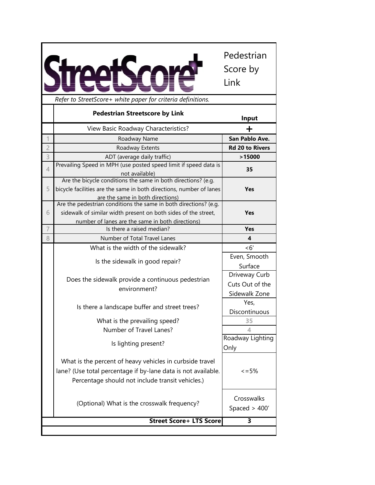|                                                                                                                                                                               |                         | Pedestrian<br>Score by<br>Link   |
|-------------------------------------------------------------------------------------------------------------------------------------------------------------------------------|-------------------------|----------------------------------|
| Refer to StreetScore+ white paper for criteria definitions.                                                                                                                   |                         |                                  |
| <b>Pedestrian Streetscore by Link</b>                                                                                                                                         |                         | Input                            |
| View Basic Roadway Characteristics?                                                                                                                                           |                         | ┿                                |
| Roadway Name                                                                                                                                                                  |                         | San Pablo Ave.                   |
| $\overline{c}$<br>Roadway Extents                                                                                                                                             |                         | <b>Rd 20 to Rivers</b>           |
| 3<br>ADT (average daily traffic)                                                                                                                                              |                         | >15000                           |
| Prevailing Speed in MPH (use posted speed limit if speed data is<br>4<br>not available)                                                                                       |                         | 35                               |
| Are the bicycle conditions the same in both directions? (e.g.<br>bicycle facilities are the same in both directions, number of lanes<br>5<br>are the same in both directions) |                         | <b>Yes</b>                       |
| Are the pedestrian conditions the same in both directions? (e.g.                                                                                                              |                         |                                  |
| sidewalk of similar width present on both sides of the street,<br>6                                                                                                           |                         | Yes                              |
| number of lanes are the same in both directions)                                                                                                                              |                         |                                  |
| 7<br>Is there a raised median?                                                                                                                                                |                         | <b>Yes</b>                       |
| 8<br>Number of Total Travel Lanes                                                                                                                                             |                         | 4                                |
| What is the width of the sidewalk?                                                                                                                                            |                         | < 6'                             |
| Is the sidewalk in good repair?                                                                                                                                               |                         | Even, Smooth                     |
|                                                                                                                                                                               |                         | Surface                          |
| Does the sidewalk provide a continuous pedestrian                                                                                                                             |                         | Driveway Curb<br>Cuts Out of the |
|                                                                                                                                                                               | environment?            |                                  |
|                                                                                                                                                                               |                         | Sidewalk Zone                    |
| Is there a landscape buffer and street trees?                                                                                                                                 |                         | Yes,                             |
|                                                                                                                                                                               |                         | Discontinuous<br>35              |
| What is the prevailing speed?                                                                                                                                                 |                         | 4                                |
|                                                                                                                                                                               | Number of Travel Lanes? |                                  |
| Is lighting present?                                                                                                                                                          |                         | Roadway Lighting<br>Only         |
| What is the percent of heavy vehicles in curbside travel<br>lane? (Use total percentage if by-lane data is not available.<br>Percentage should not include transit vehicles.) |                         | $\leq$ = 5%                      |
| (Optional) What is the crosswalk frequency?                                                                                                                                   |                         | Crosswalks<br>Spaced $>$ 400'    |
|                                                                                                                                                                               |                         |                                  |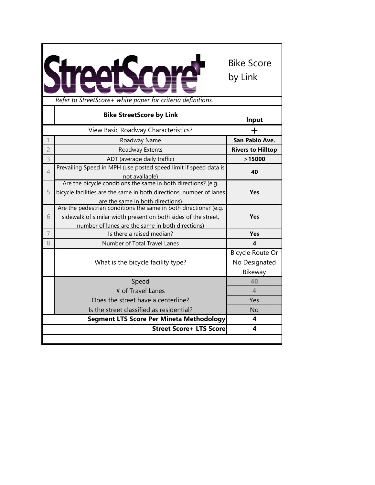

|                | <b>Bike StreetScore by Link</b>                                                                                                                                                        | Input                                        |
|----------------|----------------------------------------------------------------------------------------------------------------------------------------------------------------------------------------|----------------------------------------------|
|                | View Basic Roadway Characteristics?                                                                                                                                                    |                                              |
|                | Roadway Name                                                                                                                                                                           | San Pablo Ave.                               |
| $\overline{2}$ | Roadway Extents                                                                                                                                                                        | <b>Rivers to Hilltop</b>                     |
| 3              | ADT (average daily traffic)                                                                                                                                                            | >15000                                       |
| $\overline{4}$ | Prevailing Speed in MPH (use posted speed limit if speed data is<br>not available)                                                                                                     | 40                                           |
| 5              | Are the bicycle conditions the same in both directions? (e.g.<br>bicycle facilities are the same in both directions, number of lanes<br>are the same in both directions)               | <b>Yes</b>                                   |
| 6              | Are the pedestrian conditions the same in both directions? (e.g.<br>sidewalk of similar width present on both sides of the street,<br>number of lanes are the same in both directions) | <b>Yes</b>                                   |
| $\overline{7}$ | Is there a raised median?                                                                                                                                                              | <b>Yes</b>                                   |
| 8              | Number of Total Travel Lanes                                                                                                                                                           | 4                                            |
|                | What is the bicycle facility type?                                                                                                                                                     | Bicycle Route Or<br>No Designated<br>Bikeway |
|                | Speed                                                                                                                                                                                  | 40                                           |
|                | # of Travel Lanes                                                                                                                                                                      | $\overline{4}$                               |
|                | Does the street have a centerline?                                                                                                                                                     | Yes                                          |
|                | Is the street classified as residential?                                                                                                                                               | <b>No</b>                                    |
|                | Segment LTS Score Per Mineta Methodology                                                                                                                                               | 4                                            |
|                | <b>Street Score+ LTS Score</b>                                                                                                                                                         | 4                                            |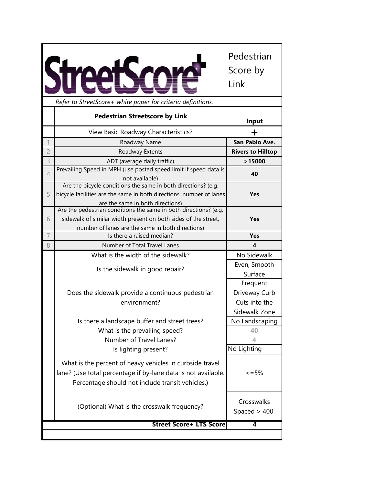*Refer to StreetScore+ white paper for criteria definitions.*

Pedestrian

Score by

Link

**Direction 1 Direction 2 Input Input** View Basic Roadway Characteristics? **+** 1 Roadway Name **San Pablo Ave. 0** 2 Roadway Extents **Rivers to Hilltop 0** 3 ADT (average daily traffic) **>15000 0 Prevailing Speed in MPH (use posted speed limit if speed data is** not available) **40 25** 5 Are the bicycle conditions the same in both directions? (e.g. bicycle facilities are the same in both directions, number of lanes are the same in both directions) **Yes No** 6 Are the pedestrian conditions the same in both directions? (e.g. sidewalk of similar width present on both sides of the street, number of lanes are the same in both directions) **Yes Yes** 7 Is there a raised median? **Yes Yes** 8 Number of Total Travel Lanes What is the width of the sidewalk?<br>No Sidewalk Is the sidewalk in good repair? Even, Smooth Surface Does the sidewalk provide a continuous pedestrian environment? Frequent Driveway Curb Cuts into the Sidewalk Zone Is there a landscape buffer and street trees?  $\blacksquare$  No Landscaping What is the prevailing speed? **1** 40 Number of Travel Lanes? **4 1** Is lighting present? Mo Lighting What is the percent of heavy vehicles in curbside travel lane? (Use total percentage if by-lane data is not available. Percentage should not include transit vehicles.)  $\leq$  = 5% (Optional) What is the crosswalk frequency? Crosswalks Spaced > 400' **4 Pedestrian Streetscore by Link Street Score+ LTS Score**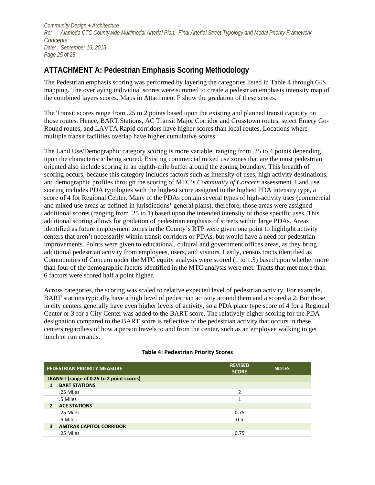*Community Design + Architecture Re: Alameda CTC Countywide Multimodal Arterial Plan: Final [Arterial Street Typology and Modal Priority Framework](#page--1-0) [Concepts](#page--1-0) Date: [September](#page--1-1) 16, 2015 Page 25 of 28*

## **ATTACHMENT A: Pedestrian Emphasis Scoring Methodology**

The Pedestrian emphasis scoring was performed by layering the categories listed in Table 4 through GIS mapping. The overlaying individual scores were summed to create a pedestrian emphasis intensity map of the combined layers scores. Maps in Attachment F show the gradation of these scores.

The Transit scores range from .25 to 2 points based upon the existing and planned transit capacity on those routes. Hence, BART Stations, AC Transit Major Corridor and Crosstown routes, select Emery Go-Round routes, and LAVTA Rapid corridors have higher scores than local routes. Locations where multiple transit facilities overlap have higher cumulative scores.

The Land Use/Demographic category scoring is more variable, ranging from .25 to 4 points depending upon the characteristic being scored. Existing commercial mixed use zones that are the most pedestrian oriented also include scoring in an eighth-mile buffer around the zoning boundary. This breadth of scoring occurs, because this category includes factors such as intensity of uses, high activity destinations, and demographic profiles through the scoring of MTC's *Community of Concern* assessment. Land use scoring includes PDA typologies with the highest score assigned to the highest PDA intensity type, a score of 4 for Regional Center. Many of the PDAs contain several types of high-activity uses (commercial and mixed use areas as defined in jurisdictions' general plans); therefore, those areas were assigned additional scores (ranging from .25 to 1) based upon the intended intensity of those specific uses. This additional scoring allows for gradation of pedestrian emphasis of streets within large PDAs. Areas identified as future employment zones in the County's RTP were given one point to highlight activity centers that aren't necessarily within transit corridors or PDAs, but would have a need for pedestrian improvements. Points were given to educational, cultural and government offices areas, as they bring additional pedestrian activity from employees, users, and visitors. Lastly, census tracts identified as Communities of Concern under the MTC equity analysis were scored (1 to 1.5) based upon whether more than four of the demographic factors identified in the MTC analysis were met. Tracts that met more than 6 factors were scored half a point higher.

Across categories, the scoring was scaled to relative expected level of pedestrian activity. For example, BART stations typically have a high level of pedestrian activity around them and a scored a 2. But those in city centers generally have even higher levels of activity, so a PDA place type score of 4 for a Regional Center or 3 for a City Center was added to the BART score. The relatively higher scoring for the PDA designation compared to the BART score is reflective of the pedestrian activity that occurs in these centers regardless of how a person travels to and from the center, such as an employee walking to get lunch or run errands.

|                                           | PEDESTRIAN PRIORITY MEASURE    | <b>REVISED</b><br><b>SCORE</b> | <b>NOTES</b> |  |
|-------------------------------------------|--------------------------------|--------------------------------|--------------|--|
| TRANSIT (range of 0.25 to 2 point scores) |                                |                                |              |  |
|                                           | <b>BART STATIONS</b>           |                                |              |  |
|                                           | .25 Miles                      | $\mathcal{P}$                  |              |  |
|                                           | .5 Miles                       |                                |              |  |
| 2                                         | <b>ACE STATIONS</b>            |                                |              |  |
|                                           | .25 Miles                      | 0.75                           |              |  |
|                                           | .5 Miles                       | 0.5                            |              |  |
| 3                                         | <b>AMTRAK CAPITOL CORRIDOR</b> |                                |              |  |
|                                           | .25 Miles                      | 0.75                           |              |  |

## **Table 4: Pedestrian Priority Scores**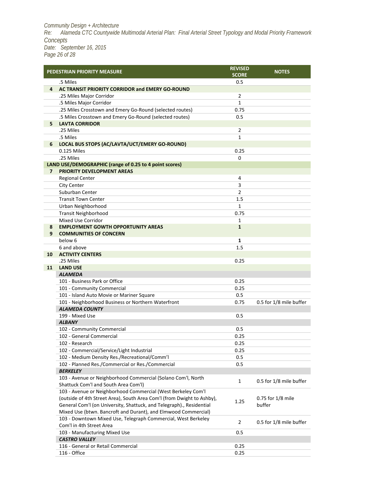*Community Design + Architecture Re: Alameda CTC Countywide Multimodal Arterial Plan: Final [Arterial Street Typology and Modal Priority Framework](#page--1-0) [Concepts](#page--1-0) Date: [September](#page--1-1) 16, 2015 Page 26 of 28*

|                | <b>PEDESTRIAN PRIORITY MEASURE</b>                                          | <b>REVISED</b><br><b>SCORE</b> | <b>NOTES</b>            |
|----------------|-----------------------------------------------------------------------------|--------------------------------|-------------------------|
|                | .5 Miles                                                                    | 0.5                            |                         |
| 4              | AC TRANSIT PRIORITY CORRIDOR and EMERY GO-ROUND                             |                                |                         |
|                | .25 Miles Major Corridor                                                    | $\overline{2}$                 |                         |
|                | .5 Miles Major Corridor                                                     | $\mathbf{1}$                   |                         |
|                | .25 Miles Crosstown and Emery Go-Round (selected routes)                    | 0.75                           |                         |
|                | .5 Miles Crosstown and Emery Go-Round (selected routes)                     | 0.5                            |                         |
| 5              | <b>LAVTA CORRIDOR</b>                                                       |                                |                         |
|                | .25 Miles                                                                   | 2                              |                         |
|                | .5 Miles                                                                    | $\mathbf{1}$                   |                         |
| 6              | LOCAL BUS STOPS (AC/LAVTA/UCT/EMERY GO-ROUND)                               |                                |                         |
|                | 0.125 Miles                                                                 | 0.25                           |                         |
|                | .25 Miles                                                                   | $\Omega$                       |                         |
|                | LAND USE/DEMOGRAPHIC (range of 0.25 to 4 point scores)                      |                                |                         |
| $\overline{7}$ | <b>PRIORITY DEVELOPMENT AREAS</b>                                           |                                |                         |
|                | <b>Regional Center</b>                                                      | 4                              |                         |
|                | <b>City Center</b>                                                          | 3                              |                         |
|                | Suburban Center                                                             | $\overline{2}$                 |                         |
|                | <b>Transit Town Center</b>                                                  | 1.5                            |                         |
|                | Urban Neighborhood                                                          | 1                              |                         |
|                | <b>Transit Neighborhood</b>                                                 | 0.75                           |                         |
|                | Mixed Use Corridor                                                          | 1                              |                         |
| 8              | <b>EMPLOYMENT GOWTH OPPORTUNITY AREAS</b>                                   | $\mathbf{1}$                   |                         |
| 9              | <b>COMMUNITIES OF CONCERN</b>                                               |                                |                         |
|                | below 6                                                                     | 1                              |                         |
|                | 6 and above                                                                 | 1.5                            |                         |
| 10             | <b>ACTIVITY CENTERS</b>                                                     |                                |                         |
|                | .25 Miles                                                                   | 0.25                           |                         |
| 11             | <b>LAND USE</b>                                                             |                                |                         |
|                | <b>ALAMEDA</b>                                                              |                                |                         |
|                | 101 - Business Park or Office                                               | 0.25<br>0.25                   |                         |
|                | 101 - Community Commercial<br>101 - Island Auto Movie or Mariner Square     |                                |                         |
|                |                                                                             | 0.5                            |                         |
|                | 101 - Neighborhood Business or Northern Waterfront<br><b>ALAMEDA COUNTY</b> | 0.75                           | 0.5 for 1/8 mile buffer |
|                | 199 - Mixed Use                                                             | 0.5                            |                         |
|                | <b>ALBANY</b>                                                               |                                |                         |
|                | 102 - Community Commercial                                                  | 0.5                            |                         |
|                | 102 - General Commercial                                                    | 0.25                           |                         |
|                | 102 - Research                                                              | 0.25                           |                         |
|                | 102 - Commercial/Service/Light Industrial                                   | 0.25                           |                         |
|                | 102 - Medium Density Res./Recreational/Comm'l                               | 0.5                            |                         |
|                | 102 - Planned Res./Commercial or Res./Commercial                            | 0.5                            |                         |
|                | <b>BERKELEY</b>                                                             |                                |                         |
|                | 103 - Avenue or Neighborhood Commercial (Solano Com'l, North                |                                |                         |
|                | Shattuck Com'l and South Area Com'l)                                        | $\mathbf{1}$                   | 0.5 for 1/8 mile buffer |
|                | 103 - Avenue or Neighborhood Commercial (West Berkeley Com'l                |                                |                         |
|                | (outside of 4th Street Area), South Area Com'l (from Dwight to Ashby),      |                                | 0.75 for 1/8 mile       |
|                | General Com'l (on University, Shattuck, and Telegraph)., Residential        | 1.25                           | buffer                  |
|                | Mixed Use (btwn. Bancroft and Durant), and Elmwood Commercial)              |                                |                         |
|                | 103 - Downtown Mixed Use, Telegraph Commercial, West Berkeley               |                                |                         |
|                | Com'l in 4th Street Area                                                    | $\overline{2}$                 | 0.5 for 1/8 mile buffer |
|                | 103 - Manufacturing Mixed Use                                               | 0.5                            |                         |
|                | <b>CASTRO VALLEY</b>                                                        |                                |                         |
|                | 116 - General or Retail Commercial                                          | 0.25                           |                         |
|                | 116 - Office                                                                | 0.25                           |                         |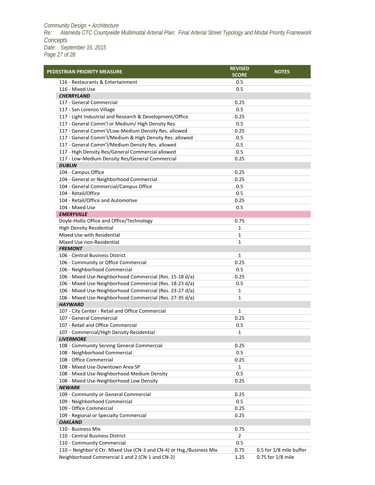*Community Design + Architecture Re: Alameda CTC Countywide Multimodal Arterial Plan: Final [Arterial Street Typology and Modal Priority Framework](#page--1-0) [Concepts](#page--1-0) Date: [September](#page--1-1) 16, 2015 Page 27 of 28*

| PEDESTRIAN PRIORITY MEASURE                                          |                | <b>NOTES</b>            |
|----------------------------------------------------------------------|----------------|-------------------------|
| 116 - Restaurants & Entertainment                                    | 0.5            |                         |
| 116 - Mixed Use                                                      | 0.5            |                         |
| <b>CHERRYLAND</b>                                                    |                |                         |
| 117 - General Commercial                                             | 0.25           |                         |
| 117 - San Lorenzo Village                                            | 0.5            |                         |
| 117 - Light Industrial and Research & Development/Office             | 0.25           |                         |
| 117 - General Comm'l or Medium/ High Density Res.                    | 0.5            |                         |
| 117 - General Comm'l/Low-Medium Density Res. allowed                 | 0.25           |                         |
| 117 - General Comm'l/Medium & High Density Res. allowed              | 0.5            |                         |
| 117 - General Comm'l/Medium Density Res. allowed                     | 0.5            |                         |
| 117 - High Density Res/General Commercial allowed                    | 0.5            |                         |
| 117 - Low-Medium Density Res/General Commercial                      | 0.25           |                         |
| <b>DUBLIN</b>                                                        |                |                         |
| 104 - Campus Office                                                  | 0.25           |                         |
| 104 - General or Neighborhood Commercial                             | 0.25           |                         |
| 104 - General Commercial/Campus Office                               | 0.5            |                         |
| 104 - Retail/Office                                                  | 0.5            |                         |
| 104 - Retail/Office and Automotive                                   | 0.25           |                         |
| 104 - Mixed Use                                                      | 0.5            |                         |
| <b>EMERYVILLE</b>                                                    |                |                         |
| Doyle-Hollis Office and Office/Technology                            | 0.75           |                         |
| <b>High Density Residential</b>                                      | 1              |                         |
| Mixed Use with Residential                                           | 1              |                         |
| Mixed Use non-Residential                                            | $\mathbf{1}$   |                         |
| <b>FREMONT</b>                                                       |                |                         |
| 106 - Central Business District                                      | 1              |                         |
| 106 - Community or Office Commercial                                 | 0.25           |                         |
| 106 - Neighborhood Commercial                                        | 0.5            |                         |
| 106 - Mixed Use-Neighborhood Commercial (Res. 15-18 d/a)             | 0.25           |                         |
| 106 - Mixed Use-Neighborhood Commercial (Res. 18-23 d/a)             | 0.5            |                         |
| 106 - Mixed Use-Neighborhood Commercial (Res. 23-27 d/a)             | 1              |                         |
| 106 - Mixed Use-Neighborhood Commercial (Res. 27-35 d/a)             | 1              |                         |
| <b>HAYWARD</b>                                                       |                |                         |
| 107 - City Center - Retail and Office Commercial                     | $\mathbf{1}$   |                         |
| 107 - General Commercial                                             | 0.25           |                         |
| 107 - Retail and Office Commercial                                   | 0.5            |                         |
| 107 - Commercial/High Density Residential                            | 1              |                         |
| <b>LIVERMORE</b>                                                     |                |                         |
| 108 - Community Serving General Commercial                           | 0.25           |                         |
| 108 - Neighborhood Commercial                                        | 0.5            |                         |
| 108 - Office Commercial                                              | 0.25           |                         |
| 108 - Mixed Use-Downtown Area SP                                     | 1              |                         |
| 108 - Mixed Use-Neighborhood Medium Density                          | 0.5            |                         |
| 108 - Mixed Use-Neighborhood Low Density                             | 0.25           |                         |
| <b>NEWARK</b>                                                        |                |                         |
| 109 - Community or General Commercial                                | 0.25           |                         |
| 109 - Neighborhood Commercial                                        | 0.5            |                         |
| 109 - Office Commercial                                              | 0.25           |                         |
| 109 - Regional or Specialty Commercial                               | 0.25           |                         |
| <b>OAKLAND</b>                                                       |                |                         |
| 110 - Business Mix                                                   | 0.75           |                         |
| 110 - Central Business District                                      | $\overline{2}$ |                         |
| 110 - Community Commercial                                           | 0.5            |                         |
| 110 - Neighbor'd Ctr. Mixed Use (CN-3 and CN-4) or Hsg./Business Mix | 0.75           | 0.5 for 1/8 mile buffer |
| Neighborhood Commercial 1 and 2 (CN-1 and CN-2)                      | 1.25           | 0.75 for 1/8 mile       |